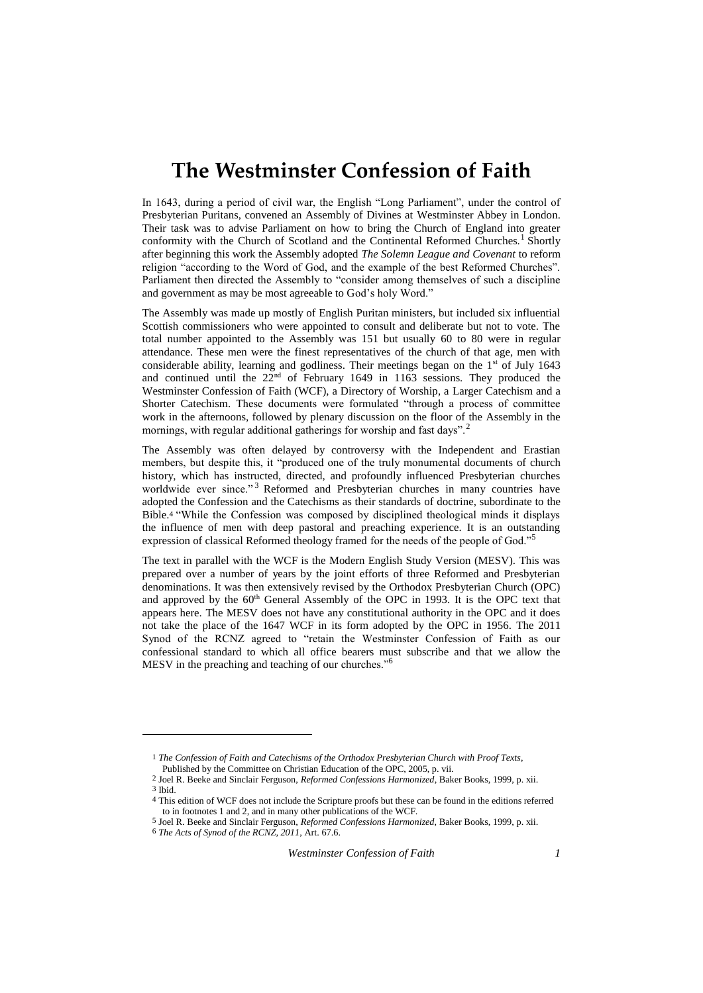# **The Westminster Confession of Faith**

In 1643, during a period of civil war, the English "Long Parliament", under the control of Presbyterian Puritans, convened an Assembly of Divines at Westminster Abbey in London. Their task was to advise Parliament on how to bring the Church of England into greater conformity with the Church of Scotland and the Continental Reformed Churches.<sup>1</sup> Shortly after beginning this work the Assembly adopted *The Solemn League and Covenant* to reform religion "according to the Word of God, and the example of the best Reformed Churches". Parliament then directed the Assembly to "consider among themselves of such a discipline and government as may be most agreeable to God's holy Word."

The Assembly was made up mostly of English Puritan ministers, but included six influential Scottish commissioners who were appointed to consult and deliberate but not to vote. The total number appointed to the Assembly was 151 but usually 60 to 80 were in regular attendance. These men were the finest representatives of the church of that age, men with considerable ability, learning and godliness. Their meetings began on the  $1<sup>st</sup>$  of July 1643 and continued until the 22<sup>nd</sup> of February 1649 in 1163 sessions. They produced the Westminster Confession of Faith (WCF), a Directory of Worship, a Larger Catechism and a Shorter Catechism. These documents were formulated "through a process of committee work in the afternoons, followed by plenary discussion on the floor of the Assembly in the mornings, with regular additional gatherings for worship and fast days".<sup>2</sup>

The Assembly was often delayed by controversy with the Independent and Erastian members, but despite this, it "produced one of the truly monumental documents of church history, which has instructed, directed, and profoundly influenced Presbyterian churches worldwide ever since."<sup>3</sup> Reformed and Presbyterian churches in many countries have adopted the Confession and the Catechisms as their standards of doctrine, subordinate to the Bible.<sup>4</sup> "While the Confession was composed by disciplined theological minds it displays the influence of men with deep pastoral and preaching experience. It is an outstanding expression of classical Reformed theology framed for the needs of the people of God."<sup>5</sup>

The text in parallel with the WCF is the Modern English Study Version (MESV). This was prepared over a number of years by the joint efforts of three Reformed and Presbyterian denominations. It was then extensively revised by the Orthodox Presbyterian Church (OPC) and approved by the 60<sup>th</sup> General Assembly of the OPC in 1993. It is the OPC text that appears here. The MESV does not have any constitutional authority in the OPC and it does not take the place of the 1647 WCF in its form adopted by the OPC in 1956. The 2011 Synod of the RCNZ agreed to "retain the Westminster Confession of Faith as our confessional standard to which all office bearers must subscribe and that we allow the MESV in the preaching and teaching of our churches."<sup>6</sup>

 $\overline{a}$ 

<sup>1</sup> *The Confession of Faith and Catechisms of the Orthodox Presbyterian Church with Proof Texts*, Published by the Committee on Christian Education of the OPC, 2005, p. vii.

<sup>2</sup> Joel R. Beeke and Sinclair Ferguson, *Reformed Confessions Harmonized,* Baker Books, 1999, p. xii. 3 Ibid.

<sup>4</sup> This edition of WCF does not include the Scripture proofs but these can be found in the editions referred to in footnotes 1 and 2, and in many other publications of the WCF.

<sup>5</sup> Joel R. Beeke and Sinclair Ferguson, *Reformed Confessions Harmonized,* Baker Books, 1999, p. xii.

<sup>6</sup> *The Acts of Synod of the RCNZ, 2011*, Art. 67.6.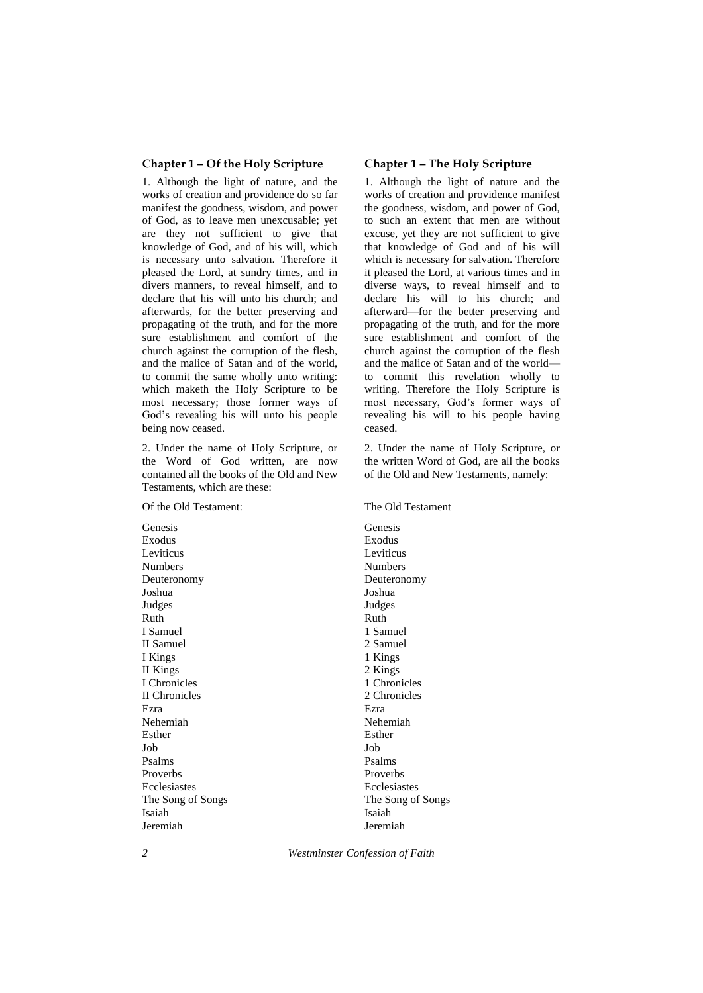### **Chapter 1 – Of the Holy Scripture Chapter 1 – The Holy Scripture**

1. Although the light of nature, and the works of creation and providence do so far manifest the goodness, wisdom, and power of God, as to leave men unexcusable; yet are they not sufficient to give that knowledge of God, and of his will, which is necessary unto salvation. Therefore it pleased the Lord, at sundry times, and in divers manners, to reveal himself, and to declare that his will unto his church; and afterwards, for the better preserving and propagating of the truth, and for the more sure establishment and comfort of the church against the corruption of the flesh, and the malice of Satan and of the world, to commit the same wholly unto writing: which maketh the Holy Scripture to be most necessary; those former ways of God's revealing his will unto his people being now ceased.

2. Under the name of Holy Scripture, or the Word of God written, are now contained all the books of the Old and New Testaments, which are these:

Of the Old Testament:

Genesis Exodus Leviticus Numbers Deuteronomy Joshua Judges Ruth I Samuel II Samuel I Kings II Kings I Chronicles II Chronicles Ezra Nehemiah Esther Job Psalms Proverbs Ecclesiastes The Song of Songs Isaiah Jeremiah

1. Although the light of nature and the works of creation and providence manifest the goodness, wisdom, and power of God, to such an extent that men are without excuse, yet they are not sufficient to give that knowledge of God and of his will which is necessary for salvation. Therefore it pleased the Lord, at various times and in diverse ways, to reveal himself and to declare his will to his church; and afterward—for the better preserving and propagating of the truth, and for the more sure establishment and comfort of the church against the corruption of the flesh and the malice of Satan and of the world to commit this revelation wholly to writing. Therefore the Holy Scripture is most necessary, God's former ways of revealing his will to his people having ceased.

2. Under the name of Holy Scripture, or the written Word of God, are all the books of the Old and New Testaments, namely:

The Old Testament

Genesis Exodus Leviticus Numbers Deuteronomy Joshua Judges Ruth 1 Samuel 2 Samuel 1 Kings 2 Kings 1 Chronicles 2 Chronicles Ezra Nehemiah Esther Job Psalms Proverbs Ecclesiastes The Song of Songs Isaiah Jeremiah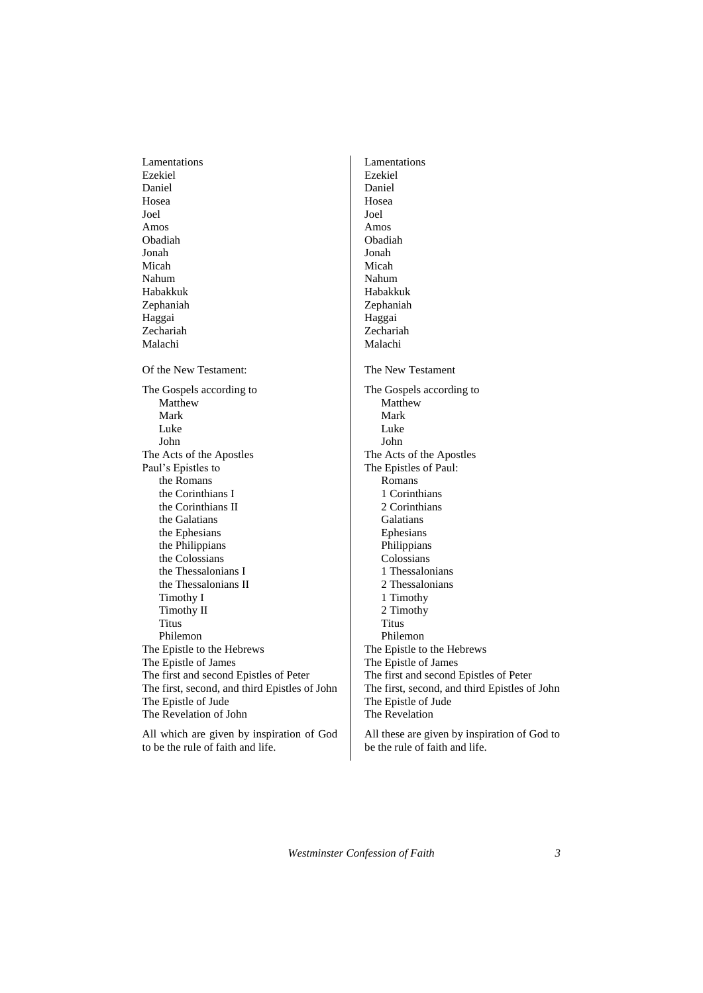Lamentations Ezekiel Daniel Hosea Joel Amos Obadiah Jonah Micah Nahum Habakkuk Zephaniah Haggai Zechariah Malachi Of the New Testament: The Gospels according to Matthew Mark Luke John The Acts of the Apostles Paul's Epistles to the Romans the Corinthians I the Corinthians II the Galatians the Ephesians the Philippians the Colossians the Thessalonians I the Thessalonians II Timothy I Timothy II Titus Philemon The Epistle to the Hebrews The Epistle of James The first and second Epistles of Peter The first, second, and third Epistles of John The Epistle of Jude The Revelation of John

All which are given by inspiration of God to be the rule of faith and life.

Lamentations Ezekiel Daniel Hosea Joel Amos Obadiah Jonah Micah Nahum Habakkuk Zephaniah Haggai Zechariah Malachi The New Testament The Gospels according to Matthew Mark Luke John The Acts of the Apostles The Epistles of Paul: Romans 1 Corinthians 2 Corinthians **Galatians** Ephesians Philippians Colossians 1 Thessalonians 2 Thessalonians 1 Timothy 2 Timothy Titus Philemon The Epistle to the Hebrews The Epistle of James The first and second Epistles of Peter The first, second, and third Epistles of John The Epistle of Jude The Revelation

All these are given by inspiration of God to be the rule of faith and life.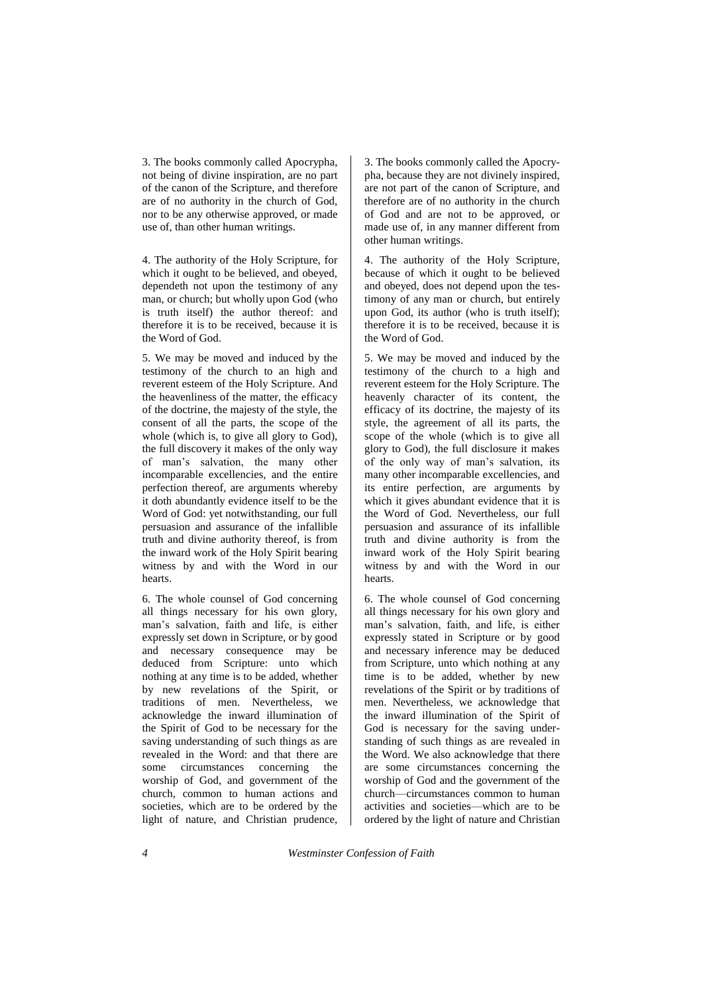3. The books commonly called Apocrypha, not being of divine inspiration, are no part of the canon of the Scripture, and therefore are of no authority in the church of God, nor to be any otherwise approved, or made use of, than other human writings.

4. The authority of the Holy Scripture, for which it ought to be believed, and obeyed, dependeth not upon the testimony of any man, or church; but wholly upon God (who is truth itself) the author thereof: and therefore it is to be received, because it is the Word of God.

5. We may be moved and induced by the testimony of the church to an high and reverent esteem of the Holy Scripture. And the heavenliness of the matter, the efficacy of the doctrine, the majesty of the style, the consent of all the parts, the scope of the whole (which is, to give all glory to God), the full discovery it makes of the only way of man's salvation, the many other incomparable excellencies, and the entire perfection thereof, are arguments whereby it doth abundantly evidence itself to be the Word of God: yet notwithstanding, our full persuasion and assurance of the infallible truth and divine authority thereof, is from the inward work of the Holy Spirit bearing witness by and with the Word in our hearts.

6. The whole counsel of God concerning all things necessary for his own glory, man's salvation, faith and life, is either expressly set down in Scripture, or by good and necessary consequence may be deduced from Scripture: unto which nothing at any time is to be added, whether by new revelations of the Spirit, or traditions of men. Nevertheless, we acknowledge the inward illumination of the Spirit of God to be necessary for the saving understanding of such things as are revealed in the Word: and that there are some circumstances concerning the worship of God, and government of the church, common to human actions and societies, which are to be ordered by the light of nature, and Christian prudence, 3. The books commonly called the Apocrypha, because they are not divinely inspired, are not part of the canon of Scripture, and therefore are of no authority in the church of God and are not to be approved, or made use of, in any manner different from other human writings.

4. The authority of the Holy Scripture, because of which it ought to be believed and obeyed, does not depend upon the testimony of any man or church, but entirely upon God, its author (who is truth itself); therefore it is to be received, because it is the Word of God.

5. We may be moved and induced by the testimony of the church to a high and reverent esteem for the Holy Scripture. The heavenly character of its content, the efficacy of its doctrine, the majesty of its style, the agreement of all its parts, the scope of the whole (which is to give all glory to God), the full disclosure it makes of the only way of man's salvation, its many other incomparable excellencies, and its entire perfection, are arguments by which it gives abundant evidence that it is the Word of God. Nevertheless, our full persuasion and assurance of its infallible truth and divine authority is from the inward work of the Holy Spirit bearing witness by and with the Word in our hearts.

6. The whole counsel of God concerning all things necessary for his own glory and man's salvation, faith, and life, is either expressly stated in Scripture or by good and necessary inference may be deduced from Scripture, unto which nothing at any time is to be added, whether by new revelations of the Spirit or by traditions of men. Nevertheless, we acknowledge that the inward illumination of the Spirit of God is necessary for the saving understanding of such things as are revealed in the Word. We also acknowledge that there are some circumstances concerning the worship of God and the government of the church—circumstances common to human activities and societies—which are to be ordered by the light of nature and Christian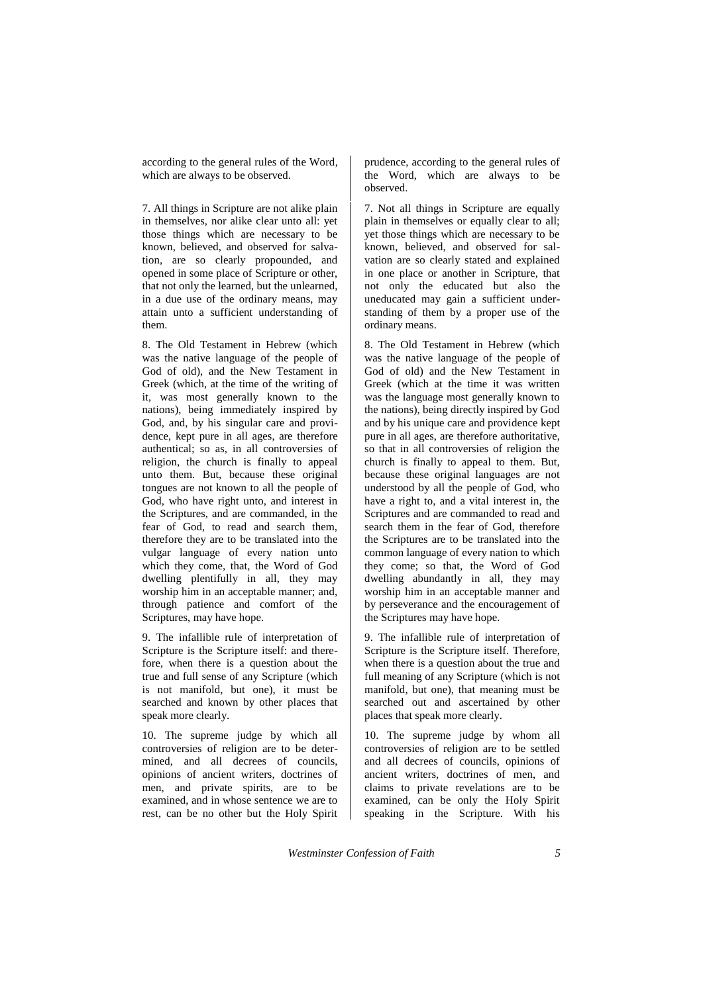according to the general rules of the Word, which are always to be observed.

7. All things in Scripture are not alike plain in themselves, nor alike clear unto all: yet those things which are necessary to be known, believed, and observed for salvation, are so clearly propounded, and opened in some place of Scripture or other, that not only the learned, but the unlearned, in a due use of the ordinary means, may attain unto a sufficient understanding of them.

8. The Old Testament in Hebrew (which was the native language of the people of God of old), and the New Testament in Greek (which, at the time of the writing of it, was most generally known to the nations), being immediately inspired by God, and, by his singular care and providence, kept pure in all ages, are therefore authentical; so as, in all controversies of religion, the church is finally to appeal unto them. But, because these original tongues are not known to all the people of God, who have right unto, and interest in the Scriptures, and are commanded, in the fear of God, to read and search them, therefore they are to be translated into the vulgar language of every nation unto which they come, that, the Word of God dwelling plentifully in all, they may worship him in an acceptable manner; and, through patience and comfort of the Scriptures, may have hope.

9. The infallible rule of interpretation of Scripture is the Scripture itself: and therefore, when there is a question about the true and full sense of any Scripture (which is not manifold, but one), it must be searched and known by other places that speak more clearly.

10. The supreme judge by which all controversies of religion are to be determined, and all decrees of councils, opinions of ancient writers, doctrines of men, and private spirits, are to be examined, and in whose sentence we are to rest, can be no other but the Holy Spirit prudence, according to the general rules of the Word, which are always to be observed.

7. Not all things in Scripture are equally plain in themselves or equally clear to all; yet those things which are necessary to be known, believed, and observed for salvation are so clearly stated and explained in one place or another in Scripture, that not only the educated but also the uneducated may gain a sufficient understanding of them by a proper use of the ordinary means.

8. The Old Testament in Hebrew (which was the native language of the people of God of old) and the New Testament in Greek (which at the time it was written was the language most generally known to the nations), being directly inspired by God and by his unique care and providence kept pure in all ages, are therefore authoritative, so that in all controversies of religion the church is finally to appeal to them. But, because these original languages are not understood by all the people of God, who have a right to, and a vital interest in, the Scriptures and are commanded to read and search them in the fear of God, therefore the Scriptures are to be translated into the common language of every nation to which they come; so that, the Word of God dwelling abundantly in all, they may worship him in an acceptable manner and by perseverance and the encouragement of the Scriptures may have hope.

9. The infallible rule of interpretation of Scripture is the Scripture itself. Therefore, when there is a question about the true and full meaning of any Scripture (which is not manifold, but one), that meaning must be searched out and ascertained by other places that speak more clearly.

10. The supreme judge by whom all controversies of religion are to be settled and all decrees of councils, opinions of ancient writers, doctrines of men, and claims to private revelations are to be examined, can be only the Holy Spirit speaking in the Scripture. With his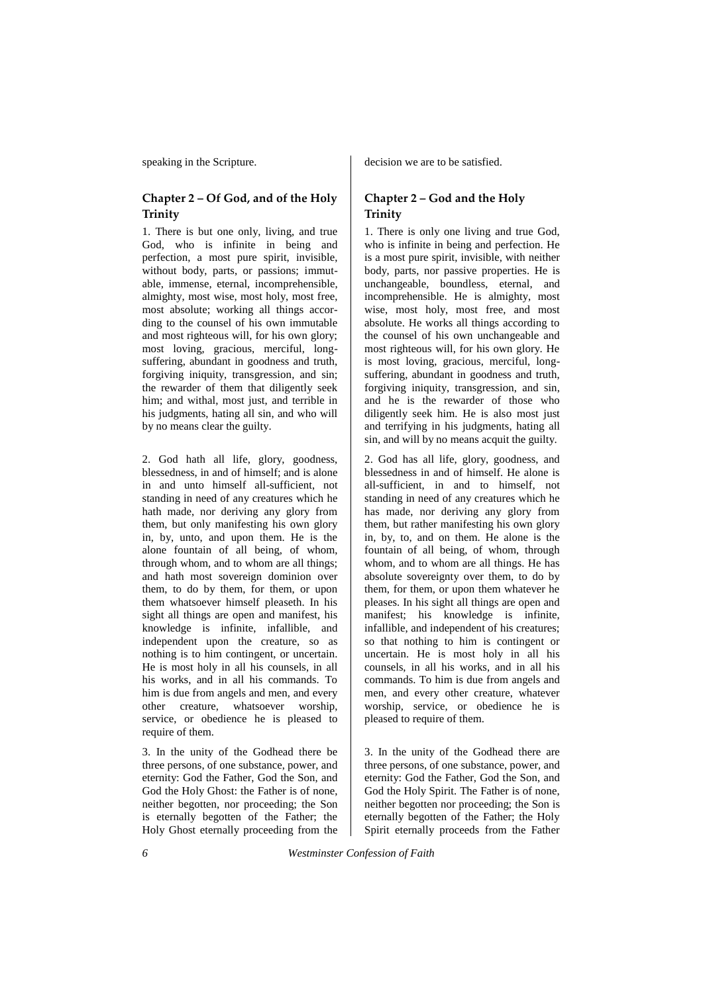speaking in the Scripture. <br> decision we are to be satisfied.

# **Chapter 2 – Of God, and of the Holy Trinity**

1. There is but one only, living, and true God, who is infinite in being and perfection, a most pure spirit, invisible, without body, parts, or passions; immutable, immense, eternal, incomprehensible, almighty, most wise, most holy, most free, most absolute; working all things according to the counsel of his own immutable and most righteous will, for his own glory; most loving, gracious, merciful, longsuffering, abundant in goodness and truth, forgiving iniquity, transgression, and sin; the rewarder of them that diligently seek him; and withal, most just, and terrible in his judgments, hating all sin, and who will by no means clear the guilty.

2. God hath all life, glory, goodness, blessedness, in and of himself; and is alone in and unto himself all-sufficient, not standing in need of any creatures which he hath made, nor deriving any glory from them, but only manifesting his own glory in, by, unto, and upon them. He is the alone fountain of all being, of whom, through whom, and to whom are all things; and hath most sovereign dominion over them, to do by them, for them, or upon them whatsoever himself pleaseth. In his sight all things are open and manifest, his knowledge is infinite, infallible, and independent upon the creature, so as nothing is to him contingent, or uncertain. He is most holy in all his counsels, in all his works, and in all his commands. To him is due from angels and men, and every other creature, whatsoever worship, service, or obedience he is pleased to require of them.

3. In the unity of the Godhead there be three persons, of one substance, power, and eternity: God the Father, God the Son, and God the Holy Ghost: the Father is of none, neither begotten, nor proceeding; the Son is eternally begotten of the Father; the Holy Ghost eternally proceeding from the

# **Chapter 2 – God and the Holy Trinity**

1. There is only one living and true God, who is infinite in being and perfection. He is a most pure spirit, invisible, with neither body, parts, nor passive properties. He is unchangeable, boundless, eternal, and incomprehensible. He is almighty, most wise, most holy, most free, and most absolute. He works all things according to the counsel of his own unchangeable and most righteous will, for his own glory. He is most loving, gracious, merciful, longsuffering, abundant in goodness and truth, forgiving iniquity, transgression, and sin, and he is the rewarder of those who diligently seek him. He is also most just and terrifying in his judgments, hating all sin, and will by no means acquit the guilty.

2. God has all life, glory, goodness, and blessedness in and of himself. He alone is all-sufficient, in and to himself, not standing in need of any creatures which he has made, nor deriving any glory from them, but rather manifesting his own glory in, by, to, and on them. He alone is the fountain of all being, of whom, through whom, and to whom are all things. He has absolute sovereignty over them, to do by them, for them, or upon them whatever he pleases. In his sight all things are open and manifest; his knowledge is infinite, infallible, and independent of his creatures; so that nothing to him is contingent or uncertain. He is most holy in all his counsels, in all his works, and in all his commands. To him is due from angels and men, and every other creature, whatever worship, service, or obedience he is pleased to require of them.

3. In the unity of the Godhead there are three persons, of one substance, power, and eternity: God the Father, God the Son, and God the Holy Spirit. The Father is of none, neither begotten nor proceeding; the Son is eternally begotten of the Father; the Holy Spirit eternally proceeds from the Father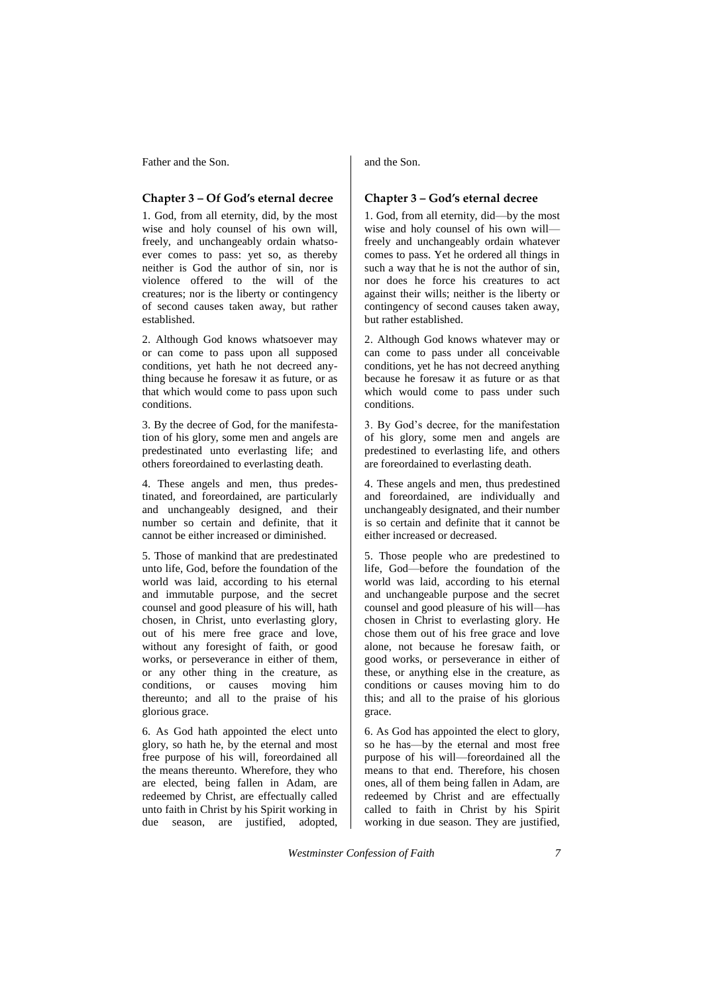Father and the Son. and the Son.

### **Chapter 3 – Of God's eternal decree Chapter 3 – God's eternal decree**

1. God, from all eternity, did, by the most wise and holy counsel of his own will, freely, and unchangeably ordain whatsoever comes to pass: yet so, as thereby neither is God the author of sin, nor is violence offered to the will of the creatures; nor is the liberty or contingency of second causes taken away, but rather established.

2. Although God knows whatsoever may or can come to pass upon all supposed conditions, yet hath he not decreed anything because he foresaw it as future, or as that which would come to pass upon such conditions.

3. By the decree of God, for the manifestation of his glory, some men and angels are predestinated unto everlasting life; and others foreordained to everlasting death.

4. These angels and men, thus predestinated, and foreordained, are particularly and unchangeably designed, and their number so certain and definite, that it cannot be either increased or diminished.

5. Those of mankind that are predestinated unto life, God, before the foundation of the world was laid, according to his eternal and immutable purpose, and the secret counsel and good pleasure of his will, hath chosen, in Christ, unto everlasting glory, out of his mere free grace and love, without any foresight of faith, or good works, or perseverance in either of them, or any other thing in the creature, as conditions, or causes moving him thereunto; and all to the praise of his glorious grace.

6. As God hath appointed the elect unto glory, so hath he, by the eternal and most free purpose of his will, foreordained all the means thereunto. Wherefore, they who are elected, being fallen in Adam, are redeemed by Christ, are effectually called unto faith in Christ by his Spirit working in due season, are justified, adopted,

1. God, from all eternity, did—by the most wise and holy counsel of his own will freely and unchangeably ordain whatever comes to pass. Yet he ordered all things in such a way that he is not the author of sin, nor does he force his creatures to act against their wills; neither is the liberty or contingency of second causes taken away, but rather established.

2. Although God knows whatever may or can come to pass under all conceivable conditions, yet he has not decreed anything because he foresaw it as future or as that which would come to pass under such conditions.

3. By God's decree, for the manifestation of his glory, some men and angels are predestined to everlasting life, and others are foreordained to everlasting death.

4. These angels and men, thus predestined and foreordained, are individually and unchangeably designated, and their number is so certain and definite that it cannot be either increased or decreased.

5. Those people who are predestined to life, God—before the foundation of the world was laid, according to his eternal and unchangeable purpose and the secret counsel and good pleasure of his will—has chosen in Christ to everlasting glory. He chose them out of his free grace and love alone, not because he foresaw faith, or good works, or perseverance in either of these, or anything else in the creature, as conditions or causes moving him to do this; and all to the praise of his glorious grace.

6. As God has appointed the elect to glory, so he has—by the eternal and most free purpose of his will—foreordained all the means to that end. Therefore, his chosen ones, all of them being fallen in Adam, are redeemed by Christ and are effectually called to faith in Christ by his Spirit working in due season. They are justified,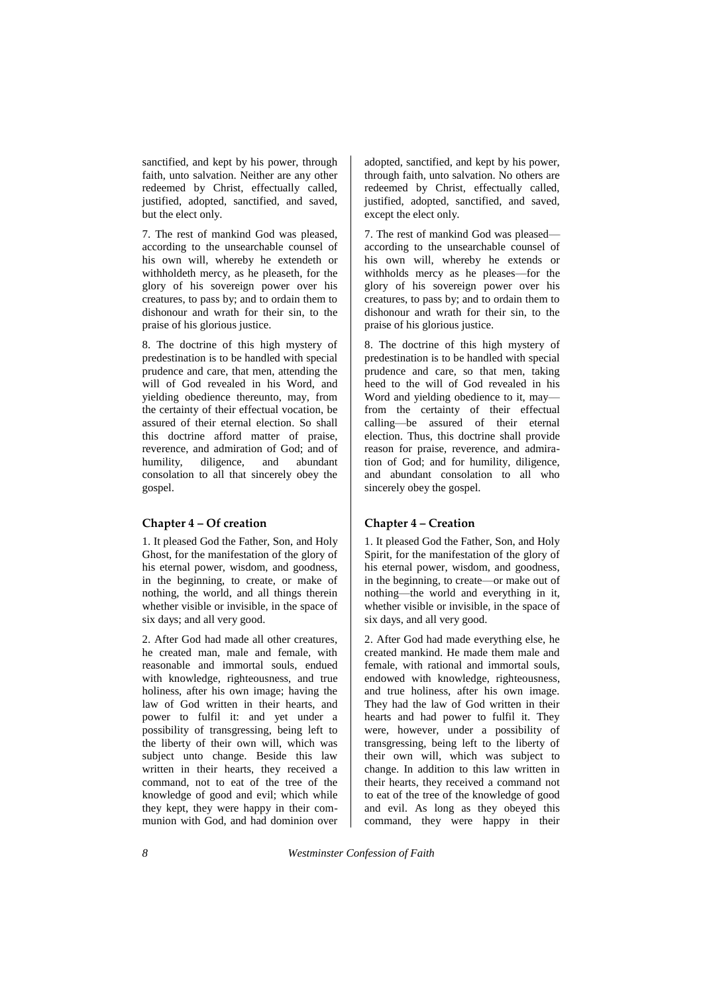sanctified, and kept by his power, through faith, unto salvation. Neither are any other redeemed by Christ, effectually called, justified, adopted, sanctified, and saved, but the elect only.

7. The rest of mankind God was pleased, according to the unsearchable counsel of his own will, whereby he extendeth or withholdeth mercy, as he pleaseth, for the glory of his sovereign power over his creatures, to pass by; and to ordain them to dishonour and wrath for their sin, to the praise of his glorious justice.

8. The doctrine of this high mystery of predestination is to be handled with special prudence and care, that men, attending the will of God revealed in his Word, and yielding obedience thereunto, may, from the certainty of their effectual vocation, be assured of their eternal election. So shall this doctrine afford matter of praise, reverence, and admiration of God; and of humility, diligence, and abundant consolation to all that sincerely obey the gospel.

### **Chapter 4 – Of creation Chapter 4 – Creation**

1. It pleased God the Father, Son, and Holy Ghost, for the manifestation of the glory of his eternal power, wisdom, and goodness, in the beginning, to create, or make of nothing, the world, and all things therein whether visible or invisible, in the space of six days; and all very good.

2. After God had made all other creatures, he created man, male and female, with reasonable and immortal souls, endued with knowledge, righteousness, and true holiness, after his own image; having the law of God written in their hearts, and power to fulfil it: and yet under a possibility of transgressing, being left to the liberty of their own will, which was subject unto change. Beside this law written in their hearts, they received a command, not to eat of the tree of the knowledge of good and evil; which while they kept, they were happy in their communion with God, and had dominion over adopted, sanctified, and kept by his power, through faith, unto salvation. No others are redeemed by Christ, effectually called, justified, adopted, sanctified, and saved, except the elect only.

7. The rest of mankind God was pleased according to the unsearchable counsel of his own will, whereby he extends or withholds mercy as he pleases—for the glory of his sovereign power over his creatures, to pass by; and to ordain them to dishonour and wrath for their sin, to the praise of his glorious justice.

8. The doctrine of this high mystery of predestination is to be handled with special prudence and care, so that men, taking heed to the will of God revealed in his Word and yielding obedience to it, may from the certainty of their effectual calling—be assured of their eternal election. Thus, this doctrine shall provide reason for praise, reverence, and admiration of God; and for humility, diligence, and abundant consolation to all who sincerely obey the gospel.

1. It pleased God the Father, Son, and Holy Spirit, for the manifestation of the glory of his eternal power, wisdom, and goodness, in the beginning, to create—or make out of nothing—the world and everything in it, whether visible or invisible, in the space of six days, and all very good.

2. After God had made everything else, he created mankind. He made them male and female, with rational and immortal souls, endowed with knowledge, righteousness, and true holiness, after his own image. They had the law of God written in their hearts and had power to fulfil it. They were, however, under a possibility of transgressing, being left to the liberty of their own will, which was subject to change. In addition to this law written in their hearts, they received a command not to eat of the tree of the knowledge of good and evil. As long as they obeyed this command, they were happy in their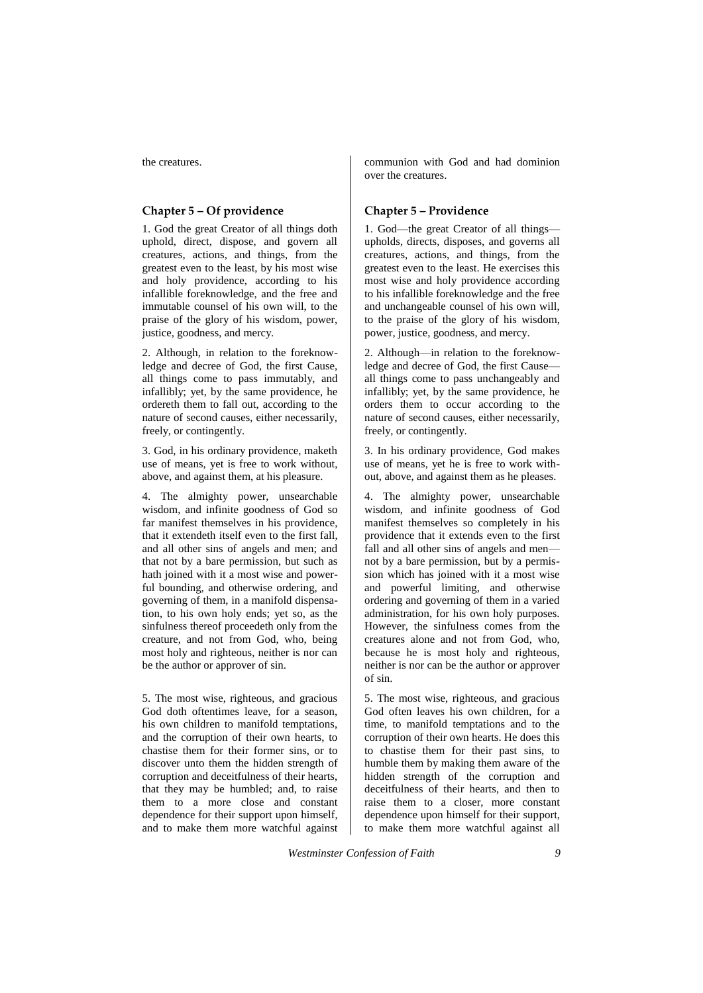### **Chapter 5 – Of providence Chapter 5 – Providence**

1. God the great Creator of all things doth uphold, direct, dispose, and govern all creatures, actions, and things, from the greatest even to the least, by his most wise and holy providence, according to his infallible foreknowledge, and the free and immutable counsel of his own will, to the praise of the glory of his wisdom, power, justice, goodness, and mercy.

2. Although, in relation to the foreknowledge and decree of God, the first Cause, all things come to pass immutably, and infallibly; yet, by the same providence, he ordereth them to fall out, according to the nature of second causes, either necessarily, freely, or contingently.

3. God, in his ordinary providence, maketh use of means, yet is free to work without, above, and against them, at his pleasure.

4. The almighty power, unsearchable wisdom, and infinite goodness of God so far manifest themselves in his providence, that it extendeth itself even to the first fall, and all other sins of angels and men; and that not by a bare permission, but such as hath joined with it a most wise and powerful bounding, and otherwise ordering, and governing of them, in a manifold dispensation, to his own holy ends; yet so, as the sinfulness thereof proceedeth only from the creature, and not from God, who, being most holy and righteous, neither is nor can be the author or approver of sin.

5. The most wise, righteous, and gracious God doth oftentimes leave, for a season, his own children to manifold temptations, and the corruption of their own hearts, to chastise them for their former sins, or to discover unto them the hidden strength of corruption and deceitfulness of their hearts, that they may be humbled; and, to raise them to a more close and constant dependence for their support upon himself, and to make them more watchful against

the creatures. The communion with God and had dominion over the creatures.

1. God—the great Creator of all things upholds, directs, disposes, and governs all creatures, actions, and things, from the greatest even to the least. He exercises this most wise and holy providence according to his infallible foreknowledge and the free and unchangeable counsel of his own will, to the praise of the glory of his wisdom, power, justice, goodness, and mercy.

2. Although—in relation to the foreknowledge and decree of God, the first Cause all things come to pass unchangeably and infallibly; yet, by the same providence, he orders them to occur according to the nature of second causes, either necessarily, freely, or contingently.

3. In his ordinary providence, God makes use of means, yet he is free to work without, above, and against them as he pleases.

4. The almighty power, unsearchable wisdom, and infinite goodness of God manifest themselves so completely in his providence that it extends even to the first fall and all other sins of angels and men not by a bare permission, but by a permission which has joined with it a most wise and powerful limiting, and otherwise ordering and governing of them in a varied administration, for his own holy purposes. However, the sinfulness comes from the creatures alone and not from God, who, because he is most holy and righteous, neither is nor can be the author or approver of sin.

5. The most wise, righteous, and gracious God often leaves his own children, for a time, to manifold temptations and to the corruption of their own hearts. He does this to chastise them for their past sins, to humble them by making them aware of the hidden strength of the corruption and deceitfulness of their hearts, and then to raise them to a closer, more constant dependence upon himself for their support, to make them more watchful against all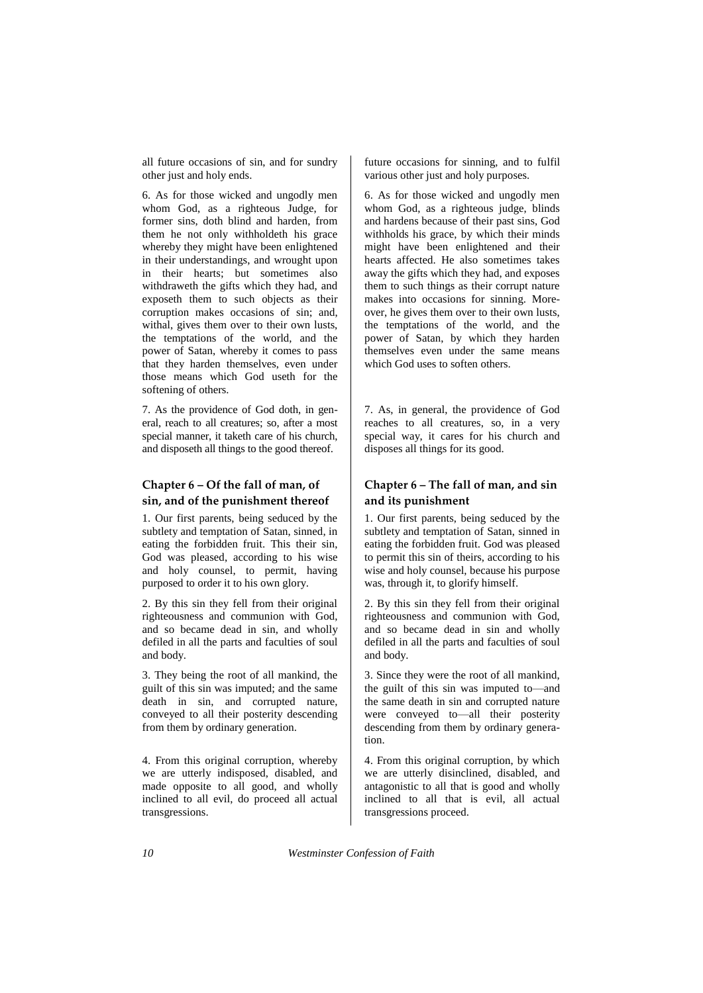all future occasions of sin, and for sundry other just and holy ends.

6. As for those wicked and ungodly men whom God, as a righteous Judge, for former sins, doth blind and harden, from them he not only withholdeth his grace whereby they might have been enlightened in their understandings, and wrought upon in their hearts; but sometimes also withdraweth the gifts which they had, and exposeth them to such objects as their corruption makes occasions of sin; and, withal, gives them over to their own lusts, the temptations of the world, and the power of Satan, whereby it comes to pass that they harden themselves, even under those means which God useth for the softening of others.

7. As the providence of God doth, in general, reach to all creatures; so, after a most special manner, it taketh care of his church, and disposeth all things to the good thereof.

# **Chapter 6 – Of the fall of man, of sin, and of the punishment thereof**

1. Our first parents, being seduced by the subtlety and temptation of Satan, sinned, in eating the forbidden fruit. This their sin, God was pleased, according to his wise and holy counsel, to permit, having purposed to order it to his own glory.

2. By this sin they fell from their original righteousness and communion with God, and so became dead in sin, and wholly defiled in all the parts and faculties of soul and body.

3. They being the root of all mankind, the guilt of this sin was imputed; and the same death in sin, and corrupted nature, conveyed to all their posterity descending from them by ordinary generation.

4. From this original corruption, whereby we are utterly indisposed, disabled, and made opposite to all good, and wholly inclined to all evil, do proceed all actual transgressions.

future occasions for sinning, and to fulfil various other just and holy purposes.

6. As for those wicked and ungodly men whom God, as a righteous judge, blinds and hardens because of their past sins, God withholds his grace, by which their minds might have been enlightened and their hearts affected. He also sometimes takes away the gifts which they had, and exposes them to such things as their corrupt nature makes into occasions for sinning. Moreover, he gives them over to their own lusts, the temptations of the world, and the power of Satan, by which they harden themselves even under the same means which God uses to soften others.

7. As, in general, the providence of God reaches to all creatures, so, in a very special way, it cares for his church and disposes all things for its good.

# **Chapter 6 – The fall of man, and sin and its punishment**

1. Our first parents, being seduced by the subtlety and temptation of Satan, sinned in eating the forbidden fruit. God was pleased to permit this sin of theirs, according to his wise and holy counsel, because his purpose was, through it, to glorify himself.

2. By this sin they fell from their original righteousness and communion with God, and so became dead in sin and wholly defiled in all the parts and faculties of soul and body.

3. Since they were the root of all mankind, the guilt of this sin was imputed to—and the same death in sin and corrupted nature were conveyed to—all their posterity descending from them by ordinary generation.

4. From this original corruption, by which we are utterly disinclined, disabled, and antagonistic to all that is good and wholly inclined to all that is evil, all actual transgressions proceed.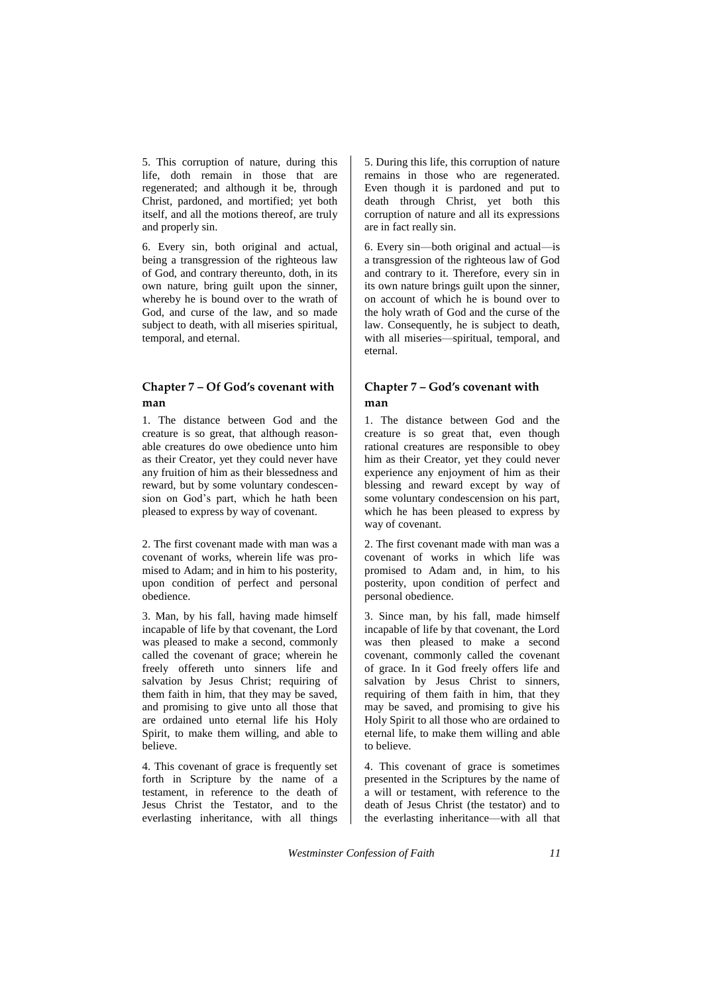5. This corruption of nature, during this life, doth remain in those that are regenerated; and although it be, through Christ, pardoned, and mortified; yet both itself, and all the motions thereof, are truly and properly sin.

6. Every sin, both original and actual, being a transgression of the righteous law of God, and contrary thereunto, doth, in its own nature, bring guilt upon the sinner, whereby he is bound over to the wrath of God, and curse of the law, and so made subject to death, with all miseries spiritual, temporal, and eternal.

# **Chapter 7 – Of God's covenant with man**

1. The distance between God and the creature is so great, that although reasonable creatures do owe obedience unto him as their Creator, yet they could never have any fruition of him as their blessedness and reward, but by some voluntary condescension on God's part, which he hath been pleased to express by way of covenant.

2. The first covenant made with man was a covenant of works, wherein life was promised to Adam; and in him to his posterity, upon condition of perfect and personal obedience.

3. Man, by his fall, having made himself incapable of life by that covenant, the Lord was pleased to make a second, commonly called the covenant of grace; wherein he freely offereth unto sinners life and salvation by Jesus Christ; requiring of them faith in him, that they may be saved, and promising to give unto all those that are ordained unto eternal life his Holy Spirit, to make them willing, and able to believe.

4. This covenant of grace is frequently set forth in Scripture by the name of a testament, in reference to the death of Jesus Christ the Testator, and to the everlasting inheritance, with all things 5. During this life, this corruption of nature remains in those who are regenerated. Even though it is pardoned and put to death through Christ, yet both this corruption of nature and all its expressions are in fact really sin.

6. Every sin—both original and actual—is a transgression of the righteous law of God and contrary to it. Therefore, every sin in its own nature brings guilt upon the sinner, on account of which he is bound over to the holy wrath of God and the curse of the law. Consequently, he is subject to death, with all miseries—spiritual, temporal, and eternal.

# **Chapter 7 – God's covenant with man**

1. The distance between God and the creature is so great that, even though rational creatures are responsible to obey him as their Creator, yet they could never experience any enjoyment of him as their blessing and reward except by way of some voluntary condescension on his part, which he has been pleased to express by way of covenant.

2. The first covenant made with man was a covenant of works in which life was promised to Adam and, in him, to his posterity, upon condition of perfect and personal obedience.

3. Since man, by his fall, made himself incapable of life by that covenant, the Lord was then pleased to make a second covenant, commonly called the covenant of grace. In it God freely offers life and salvation by Jesus Christ to sinners, requiring of them faith in him, that they may be saved, and promising to give his Holy Spirit to all those who are ordained to eternal life, to make them willing and able to believe.

4. This covenant of grace is sometimes presented in the Scriptures by the name of a will or testament, with reference to the death of Jesus Christ (the testator) and to the everlasting inheritance—with all that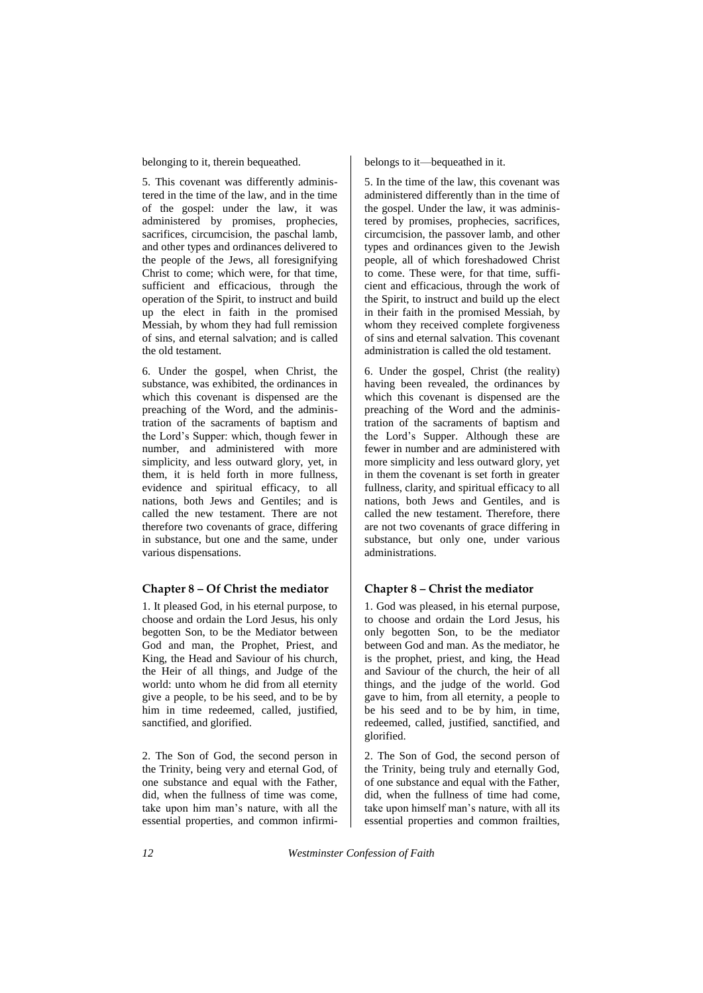belonging to it, therein bequeathed. belongs to it—bequeathed in it.

5. This covenant was differently administered in the time of the law, and in the time of the gospel: under the law, it was administered by promises, prophecies, sacrifices, circumcision, the paschal lamb, and other types and ordinances delivered to the people of the Jews, all foresignifying Christ to come; which were, for that time, sufficient and efficacious, through the operation of the Spirit, to instruct and build up the elect in faith in the promised Messiah, by whom they had full remission of sins, and eternal salvation; and is called the old testament.

6. Under the gospel, when Christ, the substance, was exhibited, the ordinances in which this covenant is dispensed are the preaching of the Word, and the administration of the sacraments of baptism and the Lord's Supper: which, though fewer in number, and administered with more simplicity, and less outward glory, yet, in them, it is held forth in more fullness, evidence and spiritual efficacy, to all nations, both Jews and Gentiles; and is called the new testament. There are not therefore two covenants of grace, differing in substance, but one and the same, under various dispensations.

### **Chapter 8 – Of Christ the mediator Chapter 8 – Christ the mediator**

1. It pleased God, in his eternal purpose, to choose and ordain the Lord Jesus, his only begotten Son, to be the Mediator between God and man, the Prophet, Priest, and King, the Head and Saviour of his church, the Heir of all things, and Judge of the world: unto whom he did from all eternity give a people, to be his seed, and to be by him in time redeemed, called, justified, sanctified, and glorified.

2. The Son of God, the second person in the Trinity, being very and eternal God, of one substance and equal with the Father, did, when the fullness of time was come, take upon him man's nature, with all the essential properties, and common infirmi-

5. In the time of the law, this covenant was administered differently than in the time of the gospel. Under the law, it was administered by promises, prophecies, sacrifices, circumcision, the passover lamb, and other types and ordinances given to the Jewish people, all of which foreshadowed Christ to come. These were, for that time, sufficient and efficacious, through the work of the Spirit, to instruct and build up the elect in their faith in the promised Messiah, by whom they received complete forgiveness of sins and eternal salvation. This covenant administration is called the old testament.

6. Under the gospel, Christ (the reality) having been revealed, the ordinances by which this covenant is dispensed are the preaching of the Word and the administration of the sacraments of baptism and the Lord's Supper. Although these are fewer in number and are administered with more simplicity and less outward glory, yet in them the covenant is set forth in greater fullness, clarity, and spiritual efficacy to all nations, both Jews and Gentiles, and is called the new testament. Therefore, there are not two covenants of grace differing in substance, but only one, under various administrations.

1. God was pleased, in his eternal purpose, to choose and ordain the Lord Jesus, his only begotten Son, to be the mediator between God and man. As the mediator, he is the prophet, priest, and king, the Head and Saviour of the church, the heir of all things, and the judge of the world. God gave to him, from all eternity, a people to be his seed and to be by him, in time, redeemed, called, justified, sanctified, and glorified.

2. The Son of God, the second person of the Trinity, being truly and eternally God, of one substance and equal with the Father, did, when the fullness of time had come. take upon himself man's nature, with all its essential properties and common frailties,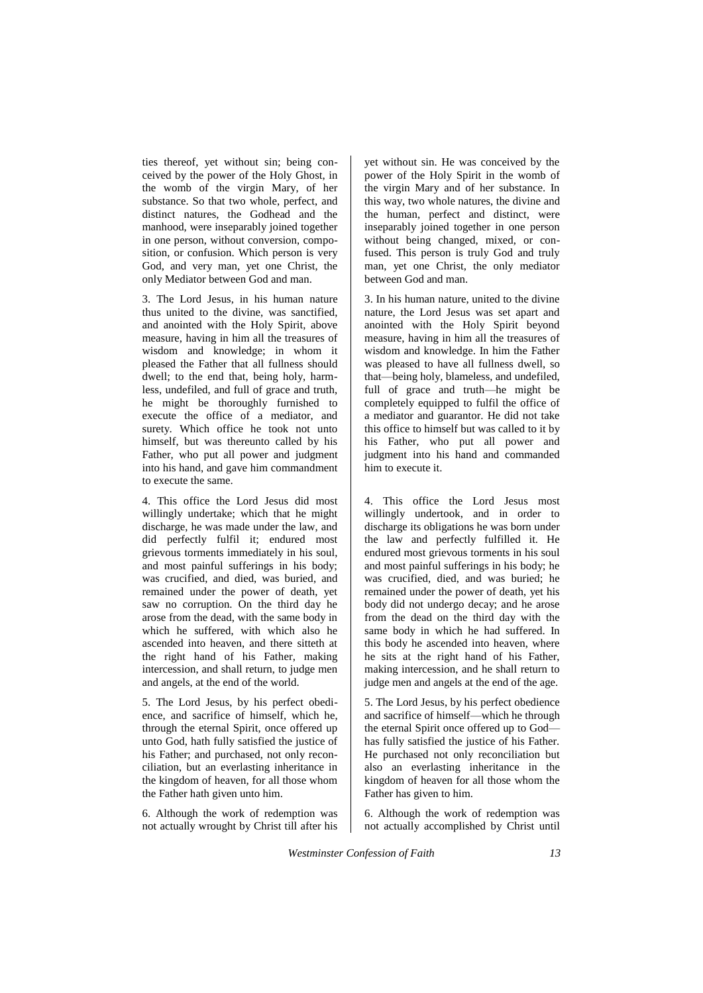ties thereof, yet without sin; being conceived by the power of the Holy Ghost, in the womb of the virgin Mary, of her substance. So that two whole, perfect, and distinct natures, the Godhead and the manhood, were inseparably joined together in one person, without conversion, composition, or confusion. Which person is very God, and very man, yet one Christ, the only Mediator between God and man.

3. The Lord Jesus, in his human nature thus united to the divine, was sanctified, and anointed with the Holy Spirit, above measure, having in him all the treasures of wisdom and knowledge; in whom it pleased the Father that all fullness should dwell; to the end that, being holy, harmless, undefiled, and full of grace and truth, he might be thoroughly furnished to execute the office of a mediator, and surety. Which office he took not unto himself, but was thereunto called by his Father, who put all power and judgment into his hand, and gave him commandment to execute the same.

4. This office the Lord Jesus did most willingly undertake; which that he might discharge, he was made under the law, and did perfectly fulfil it; endured most grievous torments immediately in his soul, and most painful sufferings in his body; was crucified, and died, was buried, and remained under the power of death, yet saw no corruption. On the third day he arose from the dead, with the same body in which he suffered, with which also he ascended into heaven, and there sitteth at the right hand of his Father, making intercession, and shall return, to judge men and angels, at the end of the world.

5. The Lord Jesus, by his perfect obedience, and sacrifice of himself, which he, through the eternal Spirit, once offered up unto God, hath fully satisfied the justice of his Father; and purchased, not only reconciliation, but an everlasting inheritance in the kingdom of heaven, for all those whom the Father hath given unto him.

6. Although the work of redemption was not actually wrought by Christ till after his yet without sin. He was conceived by the power of the Holy Spirit in the womb of the virgin Mary and of her substance. In this way, two whole natures, the divine and the human, perfect and distinct, were inseparably joined together in one person without being changed, mixed, or confused. This person is truly God and truly man, yet one Christ, the only mediator between God and man.

3. In his human nature, united to the divine nature, the Lord Jesus was set apart and anointed with the Holy Spirit beyond measure, having in him all the treasures of wisdom and knowledge. In him the Father was pleased to have all fullness dwell, so that—being holy, blameless, and undefiled, full of grace and truth—he might be completely equipped to fulfil the office of a mediator and guarantor. He did not take this office to himself but was called to it by his Father, who put all power and judgment into his hand and commanded him to execute it.

4. This office the Lord Jesus most willingly undertook, and in order to discharge its obligations he was born under the law and perfectly fulfilled it. He endured most grievous torments in his soul and most painful sufferings in his body; he was crucified, died, and was buried; he remained under the power of death, yet his body did not undergo decay; and he arose from the dead on the third day with the same body in which he had suffered. In this body he ascended into heaven, where he sits at the right hand of his Father, making intercession, and he shall return to judge men and angels at the end of the age.

5. The Lord Jesus, by his perfect obedience and sacrifice of himself—which he through the eternal Spirit once offered up to God has fully satisfied the justice of his Father. He purchased not only reconciliation but also an everlasting inheritance in the kingdom of heaven for all those whom the Father has given to him.

6. Although the work of redemption was not actually accomplished by Christ until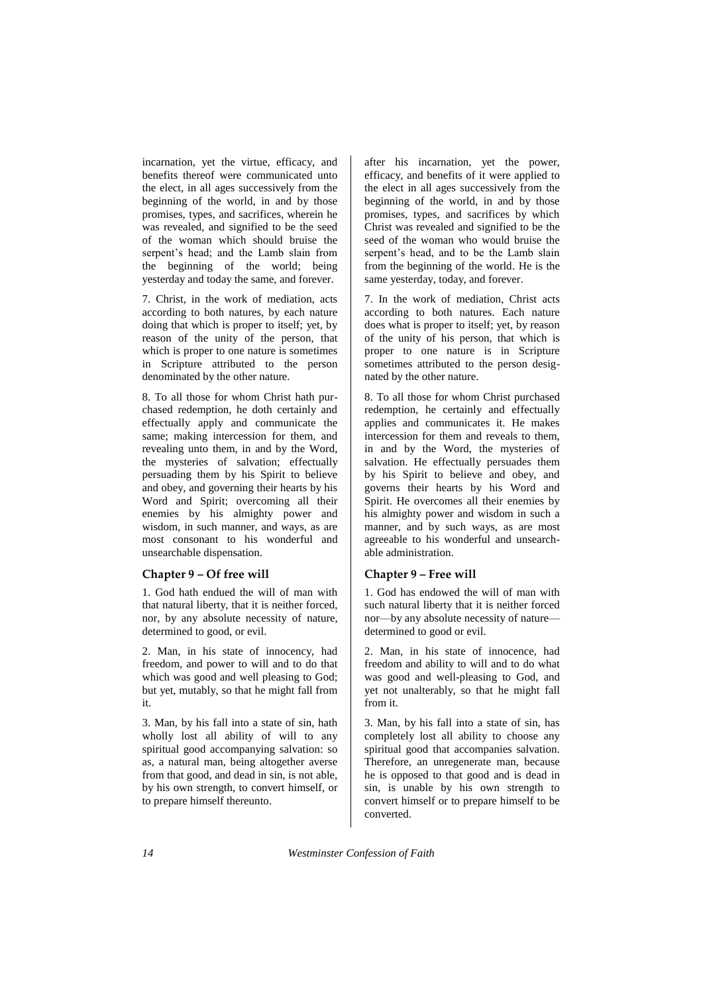incarnation, yet the virtue, efficacy, and benefits thereof were communicated unto the elect, in all ages successively from the beginning of the world, in and by those promises, types, and sacrifices, wherein he was revealed, and signified to be the seed of the woman which should bruise the serpent's head; and the Lamb slain from the beginning of the world; being yesterday and today the same, and forever.

7. Christ, in the work of mediation, acts according to both natures, by each nature doing that which is proper to itself; yet, by reason of the unity of the person, that which is proper to one nature is sometimes in Scripture attributed to the person denominated by the other nature.

8. To all those for whom Christ hath purchased redemption, he doth certainly and effectually apply and communicate the same; making intercession for them, and revealing unto them, in and by the Word, the mysteries of salvation; effectually persuading them by his Spirit to believe and obey, and governing their hearts by his Word and Spirit; overcoming all their enemies by his almighty power and wisdom, in such manner, and ways, as are most consonant to his wonderful and unsearchable dispensation.

### **Chapter 9 – Of free will Chapter 9 – Free will**

1. God hath endued the will of man with that natural liberty, that it is neither forced, nor, by any absolute necessity of nature, determined to good, or evil.

2. Man, in his state of innocency, had freedom, and power to will and to do that which was good and well pleasing to God; but yet, mutably, so that he might fall from it.

3. Man, by his fall into a state of sin, hath wholly lost all ability of will to any spiritual good accompanying salvation: so as, a natural man, being altogether averse from that good, and dead in sin, is not able, by his own strength, to convert himself, or to prepare himself thereunto.

after his incarnation, yet the power, efficacy, and benefits of it were applied to the elect in all ages successively from the beginning of the world, in and by those promises, types, and sacrifices by which Christ was revealed and signified to be the seed of the woman who would bruise the serpent's head, and to be the Lamb slain from the beginning of the world. He is the same yesterday, today, and forever.

7. In the work of mediation, Christ acts according to both natures. Each nature does what is proper to itself; yet, by reason of the unity of his person, that which is proper to one nature is in Scripture sometimes attributed to the person designated by the other nature.

8. To all those for whom Christ purchased redemption, he certainly and effectually applies and communicates it. He makes intercession for them and reveals to them, in and by the Word, the mysteries of salvation. He effectually persuades them by his Spirit to believe and obey, and governs their hearts by his Word and Spirit. He overcomes all their enemies by his almighty power and wisdom in such a manner, and by such ways, as are most agreeable to his wonderful and unsearchable administration.

1. God has endowed the will of man with such natural liberty that it is neither forced nor—by any absolute necessity of nature determined to good or evil.

2. Man, in his state of innocence, had freedom and ability to will and to do what was good and well-pleasing to God, and yet not unalterably, so that he might fall from it.

3. Man, by his fall into a state of sin, has completely lost all ability to choose any spiritual good that accompanies salvation. Therefore, an unregenerate man, because he is opposed to that good and is dead in sin, is unable by his own strength to convert himself or to prepare himself to be converted.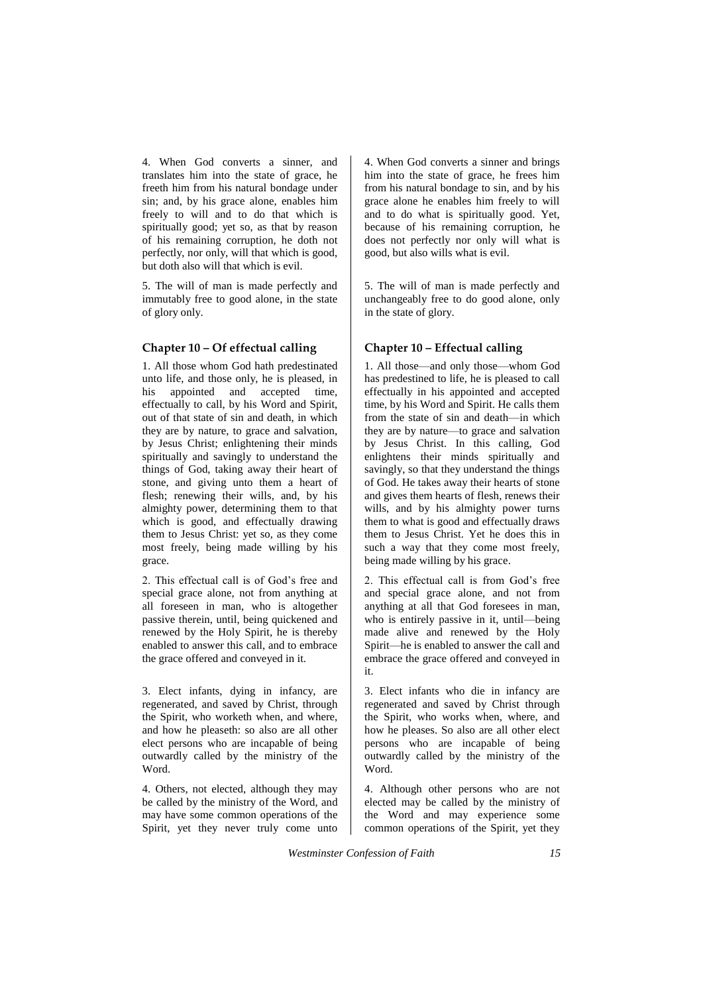4. When God converts a sinner, and translates him into the state of grace, he freeth him from his natural bondage under sin; and, by his grace alone, enables him freely to will and to do that which is spiritually good; yet so, as that by reason of his remaining corruption, he doth not perfectly, nor only, will that which is good, but doth also will that which is evil.

5. The will of man is made perfectly and immutably free to good alone, in the state of glory only.

### **Chapter 10 – Of effectual calling Chapter 10 – Effectual calling**

1. All those whom God hath predestinated unto life, and those only, he is pleased, in his appointed and accepted time, effectually to call, by his Word and Spirit, out of that state of sin and death, in which they are by nature, to grace and salvation, by Jesus Christ; enlightening their minds spiritually and savingly to understand the things of God, taking away their heart of stone, and giving unto them a heart of flesh; renewing their wills, and, by his almighty power, determining them to that which is good, and effectually drawing them to Jesus Christ: yet so, as they come most freely, being made willing by his grace.

2. This effectual call is of God's free and special grace alone, not from anything at all foreseen in man, who is altogether passive therein, until, being quickened and renewed by the Holy Spirit, he is thereby enabled to answer this call, and to embrace the grace offered and conveyed in it.

3. Elect infants, dying in infancy, are regenerated, and saved by Christ, through the Spirit, who worketh when, and where, and how he pleaseth: so also are all other elect persons who are incapable of being outwardly called by the ministry of the Word.

4. Others, not elected, although they may be called by the ministry of the Word, and may have some common operations of the Spirit, yet they never truly come unto

4. When God converts a sinner and brings him into the state of grace, he frees him from his natural bondage to sin, and by his grace alone he enables him freely to will and to do what is spiritually good. Yet, because of his remaining corruption, he does not perfectly nor only will what is good, but also wills what is evil.

5. The will of man is made perfectly and unchangeably free to do good alone, only in the state of glory.

1. All those—and only those—whom God has predestined to life, he is pleased to call effectually in his appointed and accepted time, by his Word and Spirit. He calls them from the state of sin and death—in which they are by nature—to grace and salvation by Jesus Christ. In this calling, God enlightens their minds spiritually and savingly, so that they understand the things of God. He takes away their hearts of stone and gives them hearts of flesh, renews their wills, and by his almighty power turns them to what is good and effectually draws them to Jesus Christ. Yet he does this in such a way that they come most freely, being made willing by his grace.

2. This effectual call is from God's free and special grace alone, and not from anything at all that God foresees in man, who is entirely passive in it, until—being made alive and renewed by the Holy Spirit—he is enabled to answer the call and embrace the grace offered and conveyed in it.

3. Elect infants who die in infancy are regenerated and saved by Christ through the Spirit, who works when, where, and how he pleases. So also are all other elect persons who are incapable of being outwardly called by the ministry of the Word.

4. Although other persons who are not elected may be called by the ministry of the Word and may experience some common operations of the Spirit, yet they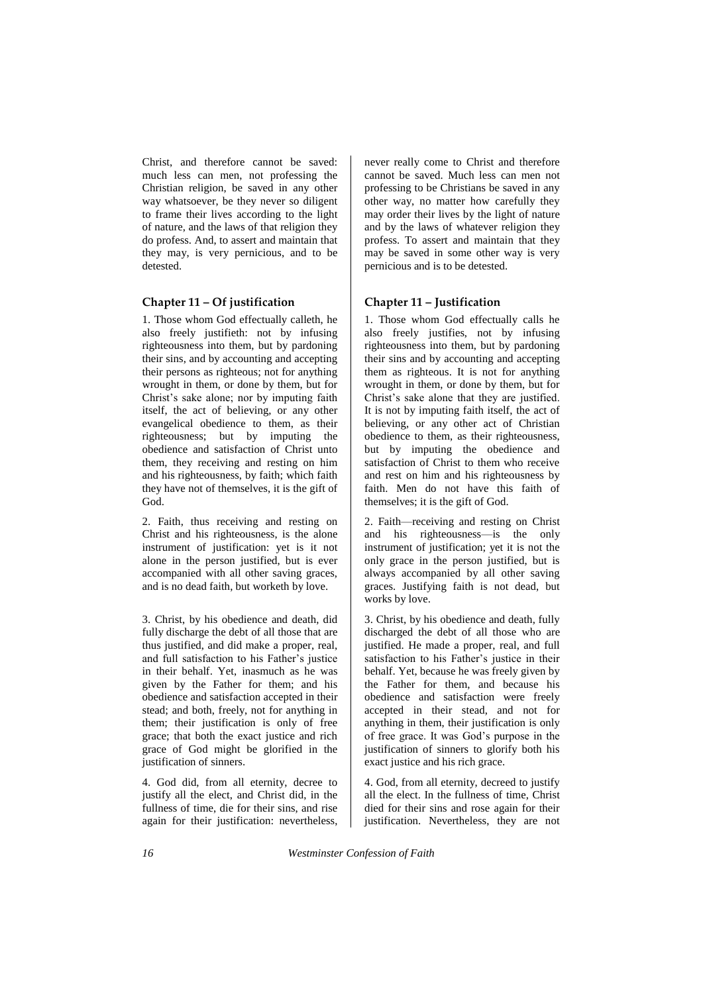Christ, and therefore cannot be saved: much less can men, not professing the Christian religion, be saved in any other way whatsoever, be they never so diligent to frame their lives according to the light of nature, and the laws of that religion they do profess. And, to assert and maintain that they may, is very pernicious, and to be detested.

### **Chapter 11 – Of justification Chapter 11 – Justification**

1. Those whom God effectually calleth, he also freely justifieth: not by infusing righteousness into them, but by pardoning their sins, and by accounting and accepting their persons as righteous; not for anything wrought in them, or done by them, but for Christ's sake alone; nor by imputing faith itself, the act of believing, or any other evangelical obedience to them, as their righteousness; but by imputing the obedience and satisfaction of Christ unto them, they receiving and resting on him and his righteousness, by faith; which faith they have not of themselves, it is the gift of God.

2. Faith, thus receiving and resting on Christ and his righteousness, is the alone instrument of justification: yet is it not alone in the person justified, but is ever accompanied with all other saving graces, and is no dead faith, but worketh by love.

3. Christ, by his obedience and death, did fully discharge the debt of all those that are thus justified, and did make a proper, real, and full satisfaction to his Father's justice in their behalf. Yet, inasmuch as he was given by the Father for them; and his obedience and satisfaction accepted in their stead; and both, freely, not for anything in them; their justification is only of free grace; that both the exact justice and rich grace of God might be glorified in the justification of sinners.

4. God did, from all eternity, decree to justify all the elect, and Christ did, in the fullness of time, die for their sins, and rise again for their justification: nevertheless,

never really come to Christ and therefore cannot be saved. Much less can men not professing to be Christians be saved in any other way, no matter how carefully they may order their lives by the light of nature and by the laws of whatever religion they profess. To assert and maintain that they may be saved in some other way is very pernicious and is to be detested.

1. Those whom God effectually calls he also freely justifies, not by infusing righteousness into them, but by pardoning their sins and by accounting and accepting them as righteous. It is not for anything wrought in them, or done by them, but for Christ's sake alone that they are justified. It is not by imputing faith itself, the act of believing, or any other act of Christian obedience to them, as their righteousness, but by imputing the obedience and satisfaction of Christ to them who receive and rest on him and his righteousness by faith. Men do not have this faith of themselves; it is the gift of God.

2. Faith—receiving and resting on Christ and his righteousness—is the only instrument of justification; yet it is not the only grace in the person justified, but is always accompanied by all other saving graces. Justifying faith is not dead, but works by love.

3. Christ, by his obedience and death, fully discharged the debt of all those who are justified. He made a proper, real, and full satisfaction to his Father's justice in their behalf. Yet, because he was freely given by the Father for them, and because his obedience and satisfaction were freely accepted in their stead, and not for anything in them, their justification is only of free grace. It was God's purpose in the justification of sinners to glorify both his exact justice and his rich grace.

4. God, from all eternity, decreed to justify all the elect. In the fullness of time, Christ died for their sins and rose again for their justification. Nevertheless, they are not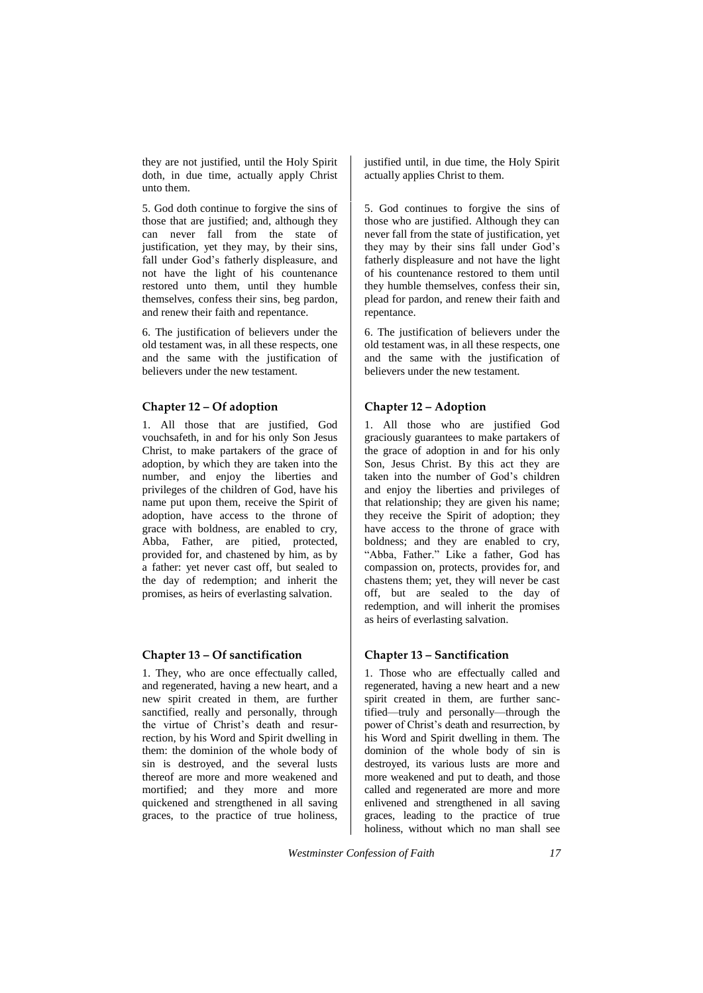they are not justified, until the Holy Spirit doth, in due time, actually apply Christ unto them.

5. God doth continue to forgive the sins of those that are justified; and, although they can never fall from the state of justification, yet they may, by their sins, fall under God's fatherly displeasure, and not have the light of his countenance restored unto them, until they humble themselves, confess their sins, beg pardon, and renew their faith and repentance.

6. The justification of believers under the old testament was, in all these respects, one and the same with the justification of believers under the new testament.

### **Chapter 12 – Of adoption Chapter 12 – Adoption**

1. All those that are justified, God vouchsafeth, in and for his only Son Jesus Christ, to make partakers of the grace of adoption, by which they are taken into the number, and enjoy the liberties and privileges of the children of God, have his name put upon them, receive the Spirit of adoption, have access to the throne of grace with boldness, are enabled to cry, Abba, Father, are pitied, protected, provided for, and chastened by him, as by a father: yet never cast off, but sealed to the day of redemption; and inherit the promises, as heirs of everlasting salvation.

### **Chapter 13 – Of sanctification Chapter 13 – Sanctification**

1. They, who are once effectually called, and regenerated, having a new heart, and a new spirit created in them, are further sanctified, really and personally, through the virtue of Christ's death and resurrection, by his Word and Spirit dwelling in them: the dominion of the whole body of sin is destroyed, and the several lusts thereof are more and more weakened and mortified; and they more and more quickened and strengthened in all saving graces, to the practice of true holiness,

justified until, in due time, the Holy Spirit actually applies Christ to them.

5. God continues to forgive the sins of those who are justified. Although they can never fall from the state of justification, yet they may by their sins fall under God's fatherly displeasure and not have the light of his countenance restored to them until they humble themselves, confess their sin, plead for pardon, and renew their faith and repentance.

6. The justification of believers under the old testament was, in all these respects, one and the same with the justification of believers under the new testament.

1. All those who are justified God graciously guarantees to make partakers of the grace of adoption in and for his only Son, Jesus Christ. By this act they are taken into the number of God's children and enjoy the liberties and privileges of that relationship; they are given his name; they receive the Spirit of adoption; they have access to the throne of grace with boldness; and they are enabled to cry, "Abba, Father." Like a father, God has compassion on, protects, provides for, and chastens them; yet, they will never be cast off, but are sealed to the day of redemption, and will inherit the promises as heirs of everlasting salvation.

1. Those who are effectually called and regenerated, having a new heart and a new spirit created in them, are further sanctified—truly and personally—through the power of Christ's death and resurrection, by his Word and Spirit dwelling in them. The dominion of the whole body of sin is destroyed, its various lusts are more and more weakened and put to death, and those called and regenerated are more and more enlivened and strengthened in all saving graces, leading to the practice of true holiness, without which no man shall see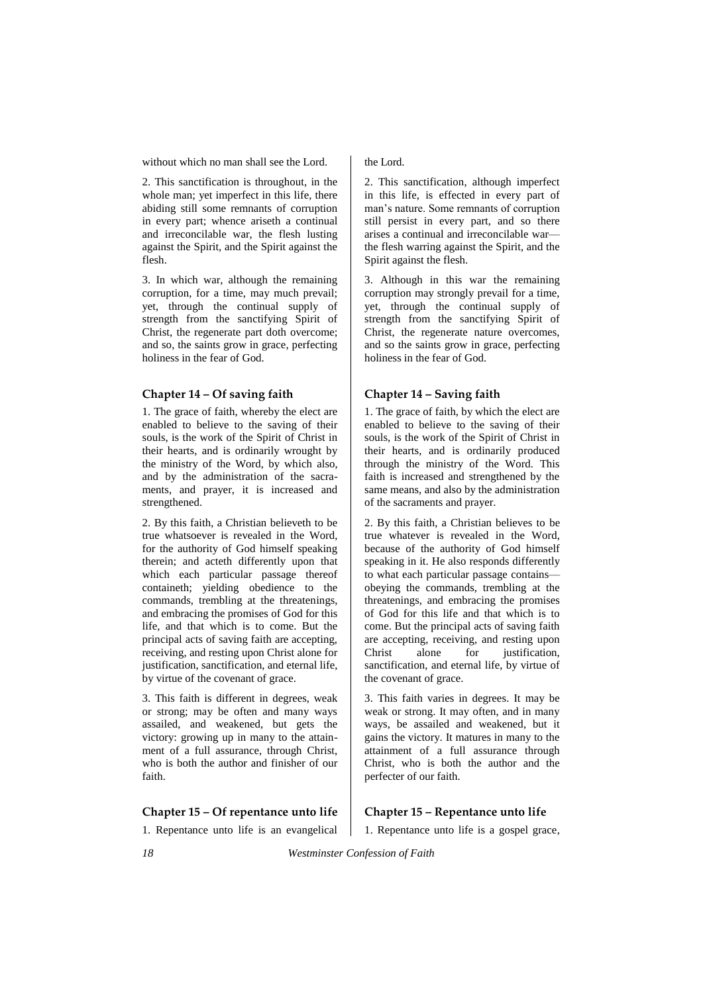without which no man shall see the Lord. the Lord.

2. This sanctification is throughout, in the whole man; yet imperfect in this life, there abiding still some remnants of corruption in every part; whence ariseth a continual and irreconcilable war, the flesh lusting against the Spirit, and the Spirit against the flesh.

3. In which war, although the remaining corruption, for a time, may much prevail; yet, through the continual supply of strength from the sanctifying Spirit of Christ, the regenerate part doth overcome; and so, the saints grow in grace, perfecting holiness in the fear of God.

## **Chapter 14 – Of saving faith Chapter 14 – Saving faith**

1. The grace of faith, whereby the elect are enabled to believe to the saving of their souls, is the work of the Spirit of Christ in their hearts, and is ordinarily wrought by the ministry of the Word, by which also, and by the administration of the sacraments, and prayer, it is increased and strengthened.

2. By this faith, a Christian believeth to be true whatsoever is revealed in the Word, for the authority of God himself speaking therein; and acteth differently upon that which each particular passage thereof containeth; yielding obedience to the commands, trembling at the threatenings, and embracing the promises of God for this life, and that which is to come. But the principal acts of saving faith are accepting, receiving, and resting upon Christ alone for justification, sanctification, and eternal life, by virtue of the covenant of grace.

3. This faith is different in degrees, weak or strong; may be often and many ways assailed, and weakened, but gets the victory: growing up in many to the attainment of a full assurance, through Christ, who is both the author and finisher of our faith.

### **Chapter 15 – Of repentance unto life Chapter 15 – Repentance unto life**

2. This sanctification, although imperfect in this life, is effected in every part of man's nature. Some remnants of corruption still persist in every part, and so there arises a continual and irreconcilable war the flesh warring against the Spirit, and the Spirit against the flesh.

3. Although in this war the remaining corruption may strongly prevail for a time, yet, through the continual supply of strength from the sanctifying Spirit of Christ, the regenerate nature overcomes, and so the saints grow in grace, perfecting holiness in the fear of God.

1. The grace of faith, by which the elect are enabled to believe to the saving of their souls, is the work of the Spirit of Christ in their hearts, and is ordinarily produced through the ministry of the Word. This faith is increased and strengthened by the same means, and also by the administration of the sacraments and prayer.

2. By this faith, a Christian believes to be true whatever is revealed in the Word, because of the authority of God himself speaking in it. He also responds differently to what each particular passage contains obeying the commands, trembling at the threatenings, and embracing the promises of God for this life and that which is to come. But the principal acts of saving faith are accepting, receiving, and resting upon Christ alone for justification, sanctification, and eternal life, by virtue of the covenant of grace.

3. This faith varies in degrees. It may be weak or strong. It may often, and in many ways, be assailed and weakened, but it gains the victory. It matures in many to the attainment of a full assurance through Christ, who is both the author and the perfecter of our faith.

1. Repentance unto life is an evangelical 1. Repentance unto life is a gospel grace,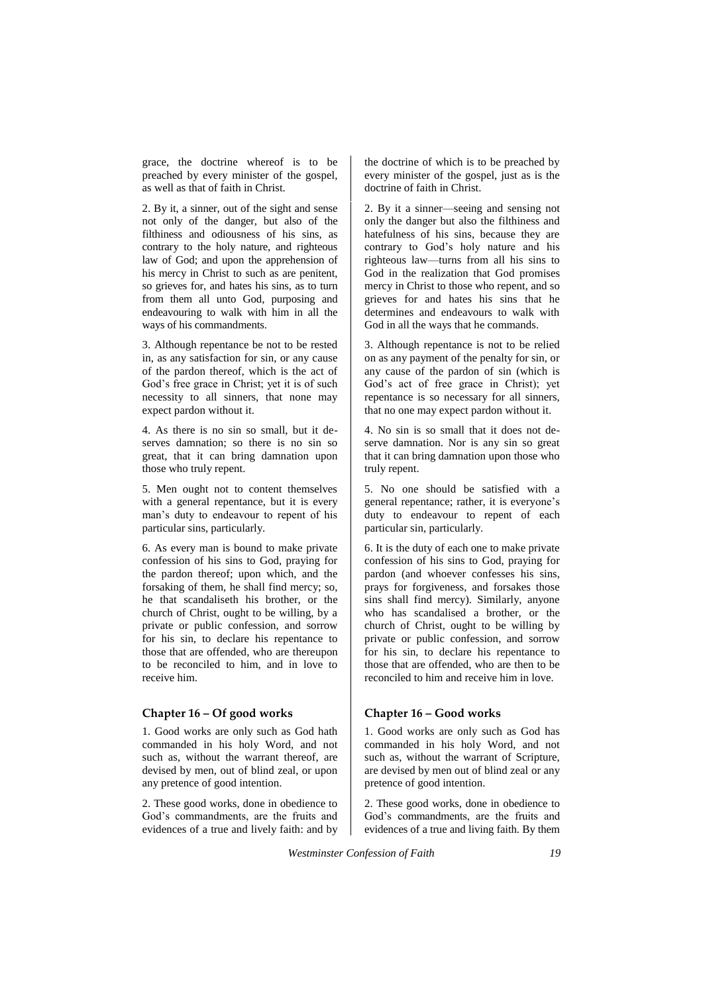grace, the doctrine whereof is to be preached by every minister of the gospel, as well as that of faith in Christ.

2. By it, a sinner, out of the sight and sense not only of the danger, but also of the filthiness and odiousness of his sins, as contrary to the holy nature, and righteous law of God; and upon the apprehension of his mercy in Christ to such as are penitent, so grieves for, and hates his sins, as to turn from them all unto God, purposing and endeavouring to walk with him in all the ways of his commandments.

3. Although repentance be not to be rested in, as any satisfaction for sin, or any cause of the pardon thereof, which is the act of God's free grace in Christ; yet it is of such necessity to all sinners, that none may expect pardon without it.

4. As there is no sin so small, but it deserves damnation; so there is no sin so great, that it can bring damnation upon those who truly repent.

5. Men ought not to content themselves with a general repentance, but it is every man's duty to endeavour to repent of his particular sins, particularly.

6. As every man is bound to make private confession of his sins to God, praying for the pardon thereof; upon which, and the forsaking of them, he shall find mercy; so, he that scandaliseth his brother, or the church of Christ, ought to be willing, by a private or public confession, and sorrow for his sin, to declare his repentance to those that are offended, who are thereupon to be reconciled to him, and in love to receive him.

### **Chapter 16 – Of good works Chapter 16 – Good works**

1. Good works are only such as God hath commanded in his holy Word, and not such as, without the warrant thereof, are devised by men, out of blind zeal, or upon any pretence of good intention.

2. These good works, done in obedience to God's commandments, are the fruits and evidences of a true and lively faith: and by the doctrine of which is to be preached by every minister of the gospel, just as is the doctrine of faith in Christ.

2. By it a sinner—seeing and sensing not only the danger but also the filthiness and hatefulness of his sins, because they are contrary to God's holy nature and his righteous law—turns from all his sins to God in the realization that God promises mercy in Christ to those who repent, and so grieves for and hates his sins that he determines and endeavours to walk with God in all the ways that he commands.

3. Although repentance is not to be relied on as any payment of the penalty for sin, or any cause of the pardon of sin (which is God's act of free grace in Christ); yet repentance is so necessary for all sinners, that no one may expect pardon without it.

4. No sin is so small that it does not deserve damnation. Nor is any sin so great that it can bring damnation upon those who truly repent.

5. No one should be satisfied with a general repentance; rather, it is everyone's duty to endeavour to repent of each particular sin, particularly.

6. It is the duty of each one to make private confession of his sins to God, praying for pardon (and whoever confesses his sins, prays for forgiveness, and forsakes those sins shall find mercy). Similarly, anyone who has scandalised a brother, or the church of Christ, ought to be willing by private or public confession, and sorrow for his sin, to declare his repentance to those that are offended, who are then to be reconciled to him and receive him in love.

1. Good works are only such as God has commanded in his holy Word, and not such as, without the warrant of Scripture, are devised by men out of blind zeal or any pretence of good intention.

2. These good works, done in obedience to God's commandments, are the fruits and evidences of a true and living faith. By them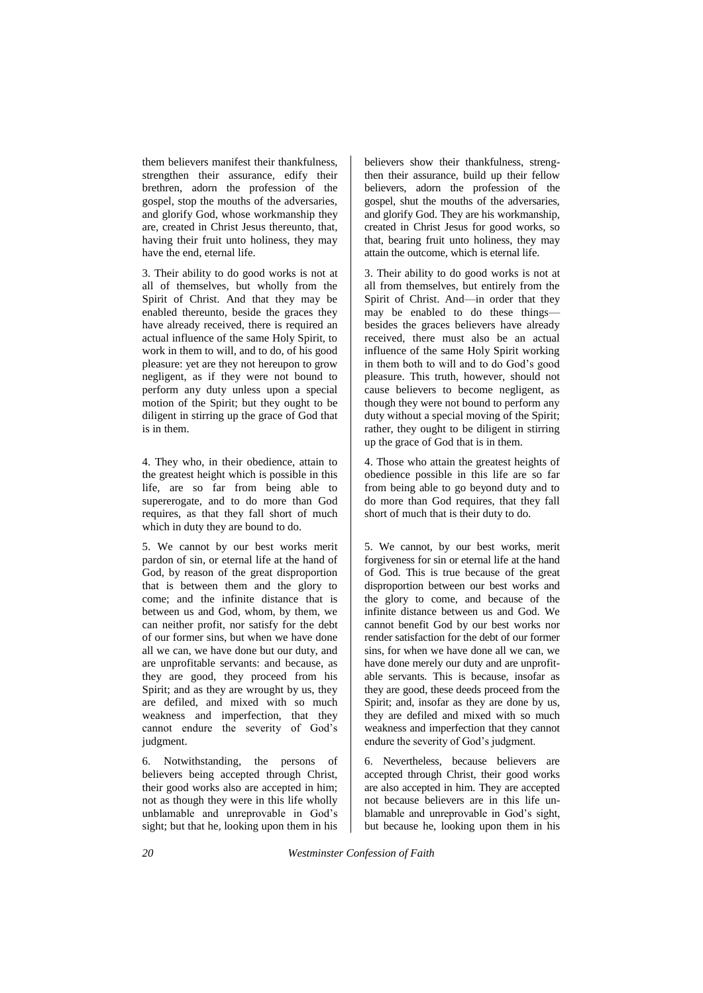them believers manifest their thankfulness, strengthen their assurance, edify their brethren, adorn the profession of the gospel, stop the mouths of the adversaries, and glorify God, whose workmanship they are, created in Christ Jesus thereunto, that, having their fruit unto holiness, they may have the end, eternal life.

3. Their ability to do good works is not at all of themselves, but wholly from the Spirit of Christ. And that they may be enabled thereunto, beside the graces they have already received, there is required an actual influence of the same Holy Spirit, to work in them to will, and to do, of his good pleasure: yet are they not hereupon to grow negligent, as if they were not bound to perform any duty unless upon a special motion of the Spirit; but they ought to be diligent in stirring up the grace of God that is in them.

4. They who, in their obedience, attain to the greatest height which is possible in this life, are so far from being able to supererogate, and to do more than God requires, as that they fall short of much which in duty they are bound to do.

5. We cannot by our best works merit pardon of sin, or eternal life at the hand of God, by reason of the great disproportion that is between them and the glory to come; and the infinite distance that is between us and God, whom, by them, we can neither profit, nor satisfy for the debt of our former sins, but when we have done all we can, we have done but our duty, and are unprofitable servants: and because, as they are good, they proceed from his Spirit; and as they are wrought by us, they are defiled, and mixed with so much weakness and imperfection, that they cannot endure the severity of God's judgment.

6. Notwithstanding, the persons of believers being accepted through Christ, their good works also are accepted in him; not as though they were in this life wholly unblamable and unreprovable in God's sight; but that he, looking upon them in his

believers show their thankfulness, strengthen their assurance, build up their fellow believers, adorn the profession of the gospel, shut the mouths of the adversaries, and glorify God. They are his workmanship, created in Christ Jesus for good works, so that, bearing fruit unto holiness, they may attain the outcome, which is eternal life.

3. Their ability to do good works is not at all from themselves, but entirely from the Spirit of Christ. And—in order that they may be enabled to do these things besides the graces believers have already received, there must also be an actual influence of the same Holy Spirit working in them both to will and to do God's good pleasure. This truth, however, should not cause believers to become negligent, as though they were not bound to perform any duty without a special moving of the Spirit; rather, they ought to be diligent in stirring up the grace of God that is in them.

4. Those who attain the greatest heights of obedience possible in this life are so far from being able to go beyond duty and to do more than God requires, that they fall short of much that is their duty to do.

5. We cannot, by our best works, merit forgiveness for sin or eternal life at the hand of God. This is true because of the great disproportion between our best works and the glory to come, and because of the infinite distance between us and God. We cannot benefit God by our best works nor render satisfaction for the debt of our former sins, for when we have done all we can, we have done merely our duty and are unprofitable servants. This is because, insofar as they are good, these deeds proceed from the Spirit; and, insofar as they are done by us, they are defiled and mixed with so much weakness and imperfection that they cannot endure the severity of God's judgment.

6. Nevertheless, because believers are accepted through Christ, their good works are also accepted in him. They are accepted not because believers are in this life unblamable and unreprovable in God's sight, but because he, looking upon them in his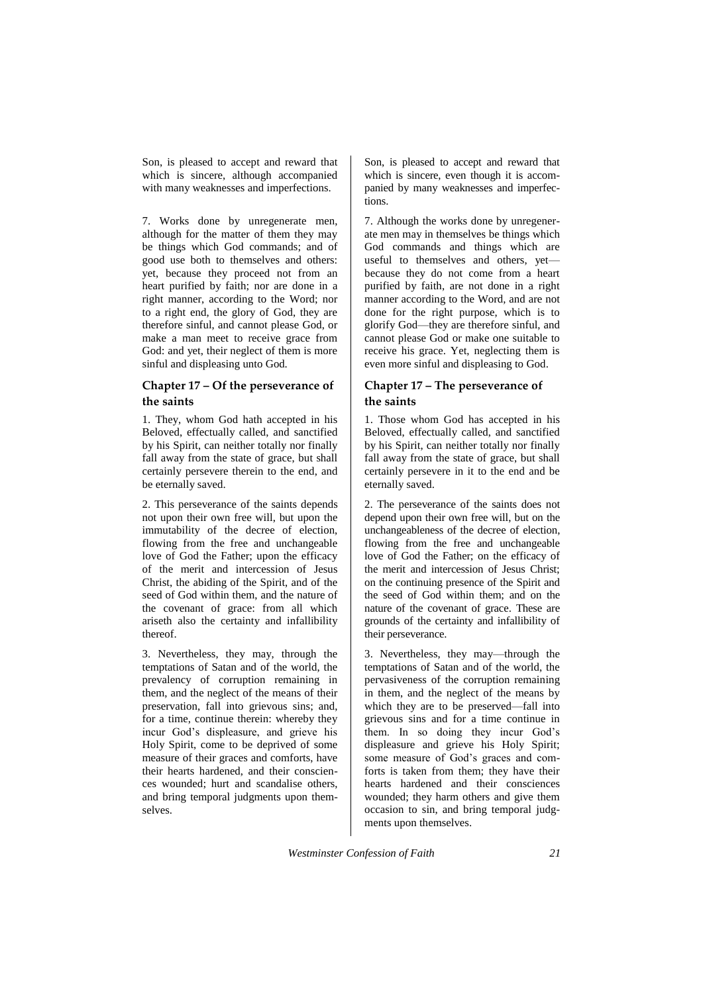Son, is pleased to accept and reward that which is sincere, although accompanied with many weaknesses and imperfections.

7. Works done by unregenerate men, although for the matter of them they may be things which God commands; and of good use both to themselves and others: yet, because they proceed not from an heart purified by faith; nor are done in a right manner, according to the Word; nor to a right end, the glory of God, they are therefore sinful, and cannot please God, or make a man meet to receive grace from God: and yet, their neglect of them is more sinful and displeasing unto God.

# **Chapter 17 – Of the perseverance of the saints**

1. They, whom God hath accepted in his Beloved, effectually called, and sanctified by his Spirit, can neither totally nor finally fall away from the state of grace, but shall certainly persevere therein to the end, and be eternally saved.

2. This perseverance of the saints depends not upon their own free will, but upon the immutability of the decree of election, flowing from the free and unchangeable love of God the Father; upon the efficacy of the merit and intercession of Jesus Christ, the abiding of the Spirit, and of the seed of God within them, and the nature of the covenant of grace: from all which ariseth also the certainty and infallibility thereof.

3. Nevertheless, they may, through the temptations of Satan and of the world, the prevalency of corruption remaining in them, and the neglect of the means of their preservation, fall into grievous sins; and, for a time, continue therein: whereby they incur God's displeasure, and grieve his Holy Spirit, come to be deprived of some measure of their graces and comforts, have their hearts hardened, and their consciences wounded; hurt and scandalise others, and bring temporal judgments upon themselves.

Son, is pleased to accept and reward that which is sincere, even though it is accompanied by many weaknesses and imperfections.

7. Although the works done by unregenerate men may in themselves be things which God commands and things which are useful to themselves and others, yet because they do not come from a heart purified by faith, are not done in a right manner according to the Word, and are not done for the right purpose, which is to glorify God—they are therefore sinful, and cannot please God or make one suitable to receive his grace. Yet, neglecting them is even more sinful and displeasing to God.

# **Chapter 17 – The perseverance of the saints**

1. Those whom God has accepted in his Beloved, effectually called, and sanctified by his Spirit, can neither totally nor finally fall away from the state of grace, but shall certainly persevere in it to the end and be eternally saved.

2. The perseverance of the saints does not depend upon their own free will, but on the unchangeableness of the decree of election, flowing from the free and unchangeable love of God the Father; on the efficacy of the merit and intercession of Jesus Christ; on the continuing presence of the Spirit and the seed of God within them; and on the nature of the covenant of grace. These are grounds of the certainty and infallibility of their perseverance.

3. Nevertheless, they may—through the temptations of Satan and of the world, the pervasiveness of the corruption remaining in them, and the neglect of the means by which they are to be preserved—fall into grievous sins and for a time continue in them. In so doing they incur God's displeasure and grieve his Holy Spirit; some measure of God's graces and comforts is taken from them; they have their hearts hardened and their consciences wounded; they harm others and give them occasion to sin, and bring temporal judgments upon themselves.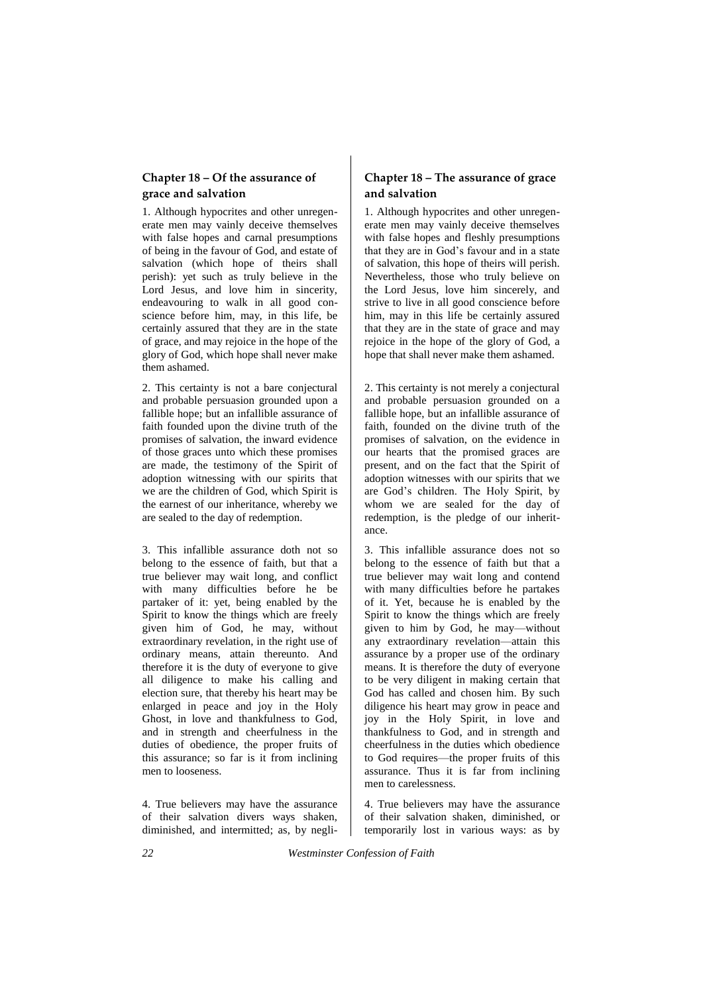# **Chapter 18 – Of the assurance of grace and salvation**

1. Although hypocrites and other unregenerate men may vainly deceive themselves with false hopes and carnal presumptions of being in the favour of God, and estate of salvation (which hope of theirs shall perish): yet such as truly believe in the Lord Jesus, and love him in sincerity, endeavouring to walk in all good conscience before him, may, in this life, be certainly assured that they are in the state of grace, and may rejoice in the hope of the glory of God, which hope shall never make them ashamed.

2. This certainty is not a bare conjectural and probable persuasion grounded upon a fallible hope; but an infallible assurance of faith founded upon the divine truth of the promises of salvation, the inward evidence of those graces unto which these promises are made, the testimony of the Spirit of adoption witnessing with our spirits that we are the children of God, which Spirit is the earnest of our inheritance, whereby we are sealed to the day of redemption.

3. This infallible assurance doth not so belong to the essence of faith, but that a true believer may wait long, and conflict with many difficulties before he be partaker of it: yet, being enabled by the Spirit to know the things which are freely given him of God, he may, without extraordinary revelation, in the right use of ordinary means, attain thereunto. And therefore it is the duty of everyone to give all diligence to make his calling and election sure, that thereby his heart may be enlarged in peace and joy in the Holy Ghost, in love and thankfulness to God, and in strength and cheerfulness in the duties of obedience, the proper fruits of this assurance; so far is it from inclining men to looseness.

4. True believers may have the assurance of their salvation divers ways shaken, diminished, and intermitted; as, by negli-

# **Chapter 18 – The assurance of grace and salvation**

1. Although hypocrites and other unregenerate men may vainly deceive themselves with false hopes and fleshly presumptions that they are in God's favour and in a state of salvation, this hope of theirs will perish. Nevertheless, those who truly believe on the Lord Jesus, love him sincerely, and strive to live in all good conscience before him, may in this life be certainly assured that they are in the state of grace and may rejoice in the hope of the glory of God, a hope that shall never make them ashamed.

2. This certainty is not merely a conjectural and probable persuasion grounded on a fallible hope, but an infallible assurance of faith, founded on the divine truth of the promises of salvation, on the evidence in our hearts that the promised graces are present, and on the fact that the Spirit of adoption witnesses with our spirits that we are God's children. The Holy Spirit, by whom we are sealed for the day of redemption, is the pledge of our inheritance.

3. This infallible assurance does not so belong to the essence of faith but that a true believer may wait long and contend with many difficulties before he partakes of it. Yet, because he is enabled by the Spirit to know the things which are freely given to him by God, he may—without any extraordinary revelation—attain this assurance by a proper use of the ordinary means. It is therefore the duty of everyone to be very diligent in making certain that God has called and chosen him. By such diligence his heart may grow in peace and joy in the Holy Spirit, in love and thankfulness to God, and in strength and cheerfulness in the duties which obedience to God requires—the proper fruits of this assurance. Thus it is far from inclining men to carelessness.

4. True believers may have the assurance of their salvation shaken, diminished, or temporarily lost in various ways: as by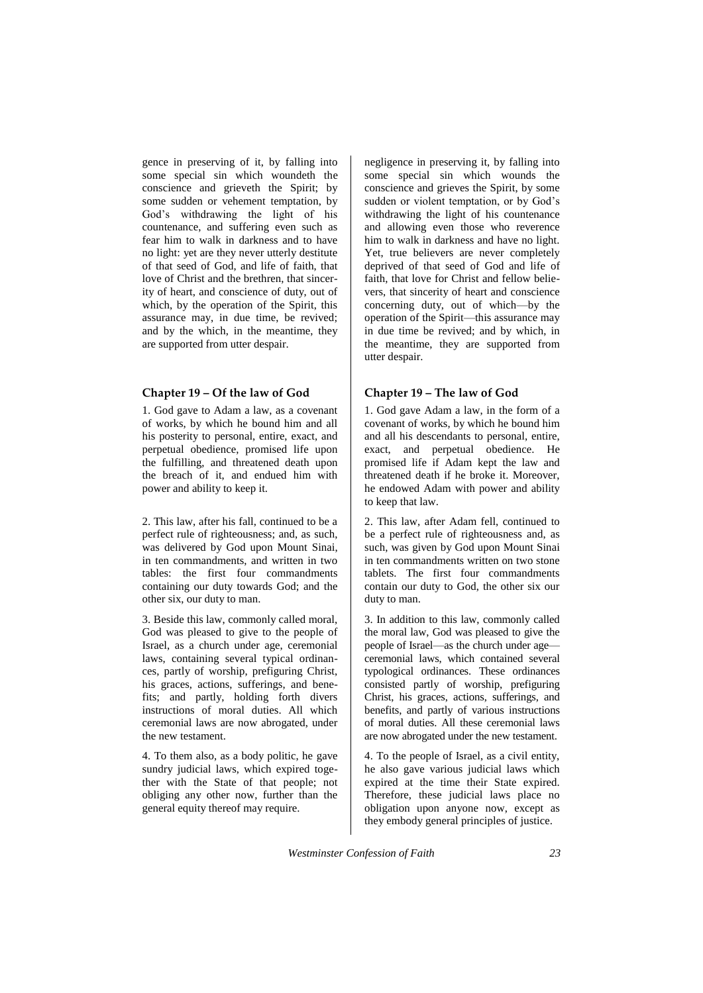gence in preserving of it, by falling into some special sin which woundeth the conscience and grieveth the Spirit; by some sudden or vehement temptation, by God's withdrawing the light of his countenance, and suffering even such as fear him to walk in darkness and to have no light: yet are they never utterly destitute of that seed of God, and life of faith, that love of Christ and the brethren, that sincerity of heart, and conscience of duty, out of which, by the operation of the Spirit, this assurance may, in due time, be revived; and by the which, in the meantime, they are supported from utter despair.

### **Chapter 19 – Of the law of God Chapter 19 – The law of God**

1. God gave to Adam a law, as a covenant of works, by which he bound him and all his posterity to personal, entire, exact, and perpetual obedience, promised life upon the fulfilling, and threatened death upon the breach of it, and endued him with power and ability to keep it.

2. This law, after his fall, continued to be a perfect rule of righteousness; and, as such, was delivered by God upon Mount Sinai, in ten commandments, and written in two tables: the first four commandments containing our duty towards God; and the other six, our duty to man.

3. Beside this law, commonly called moral, God was pleased to give to the people of Israel, as a church under age, ceremonial laws, containing several typical ordinances, partly of worship, prefiguring Christ, his graces, actions, sufferings, and benefits; and partly, holding forth divers instructions of moral duties. All which ceremonial laws are now abrogated, under the new testament.

4. To them also, as a body politic, he gave sundry judicial laws, which expired together with the State of that people; not obliging any other now, further than the general equity thereof may require.

negligence in preserving it, by falling into some special sin which wounds the conscience and grieves the Spirit, by some sudden or violent temptation, or by God's withdrawing the light of his countenance and allowing even those who reverence him to walk in darkness and have no light. Yet, true believers are never completely deprived of that seed of God and life of faith, that love for Christ and fellow believers, that sincerity of heart and conscience concerning duty, out of which—by the operation of the Spirit—this assurance may in due time be revived; and by which, in the meantime, they are supported from utter despair.

1. God gave Adam a law, in the form of a covenant of works, by which he bound him and all his descendants to personal, entire, exact, and perpetual obedience. He promised life if Adam kept the law and threatened death if he broke it. Moreover, he endowed Adam with power and ability to keep that law.

2. This law, after Adam fell, continued to be a perfect rule of righteousness and, as such, was given by God upon Mount Sinai in ten commandments written on two stone tablets. The first four commandments contain our duty to God, the other six our duty to man.

3. In addition to this law, commonly called the moral law, God was pleased to give the people of Israel—as the church under age ceremonial laws, which contained several typological ordinances. These ordinances consisted partly of worship, prefiguring Christ, his graces, actions, sufferings, and benefits, and partly of various instructions of moral duties. All these ceremonial laws are now abrogated under the new testament.

4. To the people of Israel, as a civil entity, he also gave various judicial laws which expired at the time their State expired. Therefore, these judicial laws place no obligation upon anyone now, except as they embody general principles of justice.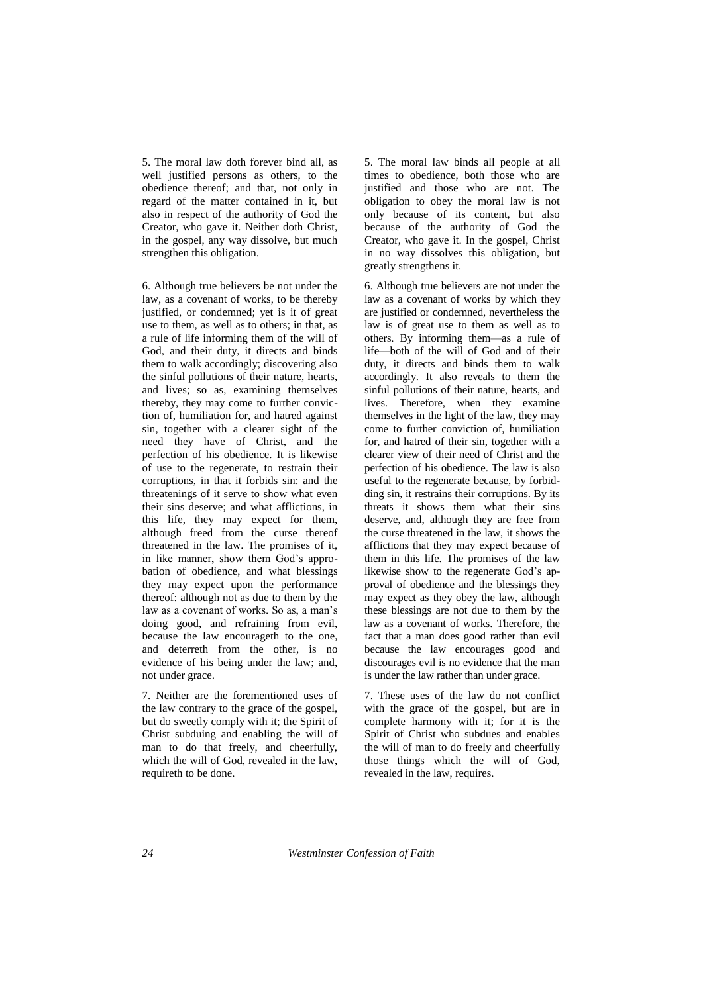5. The moral law doth forever bind all, as well justified persons as others, to the obedience thereof; and that, not only in regard of the matter contained in it, but also in respect of the authority of God the Creator, who gave it. Neither doth Christ, in the gospel, any way dissolve, but much strengthen this obligation.

6. Although true believers be not under the law, as a covenant of works, to be thereby justified, or condemned; yet is it of great use to them, as well as to others; in that, as a rule of life informing them of the will of God, and their duty, it directs and binds them to walk accordingly; discovering also the sinful pollutions of their nature, hearts, and lives; so as, examining themselves thereby, they may come to further conviction of, humiliation for, and hatred against sin, together with a clearer sight of the need they have of Christ, and the perfection of his obedience. It is likewise of use to the regenerate, to restrain their corruptions, in that it forbids sin: and the threatenings of it serve to show what even their sins deserve; and what afflictions, in this life, they may expect for them, although freed from the curse thereof threatened in the law. The promises of it, in like manner, show them God's approbation of obedience, and what blessings they may expect upon the performance thereof: although not as due to them by the law as a covenant of works. So as, a man's doing good, and refraining from evil, because the law encourageth to the one, and deterreth from the other, is no evidence of his being under the law; and, not under grace.

7. Neither are the forementioned uses of the law contrary to the grace of the gospel, but do sweetly comply with it; the Spirit of Christ subduing and enabling the will of man to do that freely, and cheerfully, which the will of God, revealed in the law, requireth to be done.

5. The moral law binds all people at all times to obedience, both those who are justified and those who are not. The obligation to obey the moral law is not only because of its content, but also because of the authority of God the Creator, who gave it. In the gospel, Christ in no way dissolves this obligation, but greatly strengthens it.

6. Although true believers are not under the law as a covenant of works by which they are justified or condemned, nevertheless the law is of great use to them as well as to others. By informing them—as a rule of life—both of the will of God and of their duty, it directs and binds them to walk accordingly. It also reveals to them the sinful pollutions of their nature, hearts, and lives. Therefore, when they examine themselves in the light of the law, they may come to further conviction of, humiliation for, and hatred of their sin, together with a clearer view of their need of Christ and the perfection of his obedience. The law is also useful to the regenerate because, by forbidding sin, it restrains their corruptions. By its threats it shows them what their sins deserve, and, although they are free from the curse threatened in the law, it shows the afflictions that they may expect because of them in this life. The promises of the law likewise show to the regenerate God's approval of obedience and the blessings they may expect as they obey the law, although these blessings are not due to them by the law as a covenant of works. Therefore, the fact that a man does good rather than evil because the law encourages good and discourages evil is no evidence that the man is under the law rather than under grace.

7. These uses of the law do not conflict with the grace of the gospel, but are in complete harmony with it; for it is the Spirit of Christ who subdues and enables the will of man to do freely and cheerfully those things which the will of God, revealed in the law, requires.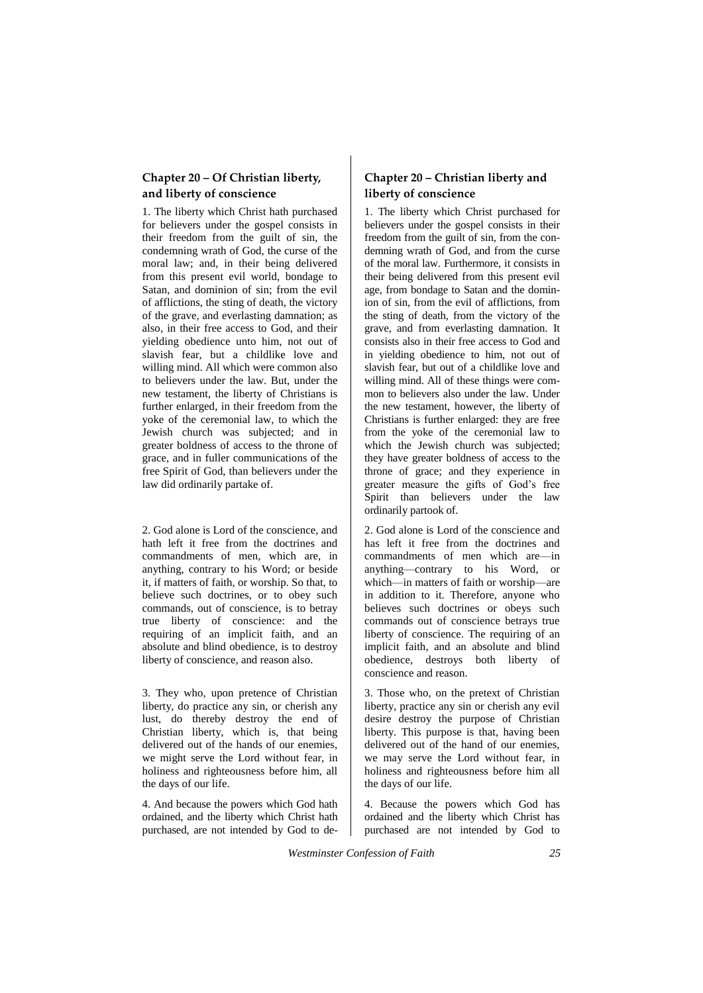# **Chapter 20 – Of Christian liberty, and liberty of conscience**

1. The liberty which Christ hath purchased for believers under the gospel consists in their freedom from the guilt of sin, the condemning wrath of God, the curse of the moral law; and, in their being delivered from this present evil world, bondage to Satan, and dominion of sin; from the evil of afflictions, the sting of death, the victory of the grave, and everlasting damnation; as also, in their free access to God, and their yielding obedience unto him, not out of slavish fear, but a childlike love and willing mind. All which were common also to believers under the law. But, under the new testament, the liberty of Christians is further enlarged, in their freedom from the yoke of the ceremonial law, to which the Jewish church was subjected; and in greater boldness of access to the throne of grace, and in fuller communications of the free Spirit of God, than believers under the law did ordinarily partake of.

2. God alone is Lord of the conscience, and hath left it free from the doctrines and commandments of men, which are, in anything, contrary to his Word; or beside it, if matters of faith, or worship. So that, to believe such doctrines, or to obey such commands, out of conscience, is to betray true liberty of conscience: and the requiring of an implicit faith, and an absolute and blind obedience, is to destroy liberty of conscience, and reason also.

3. They who, upon pretence of Christian liberty, do practice any sin, or cherish any lust, do thereby destroy the end of Christian liberty, which is, that being delivered out of the hands of our enemies, we might serve the Lord without fear, in holiness and righteousness before him, all the days of our life.

4. And because the powers which God hath ordained, and the liberty which Christ hath purchased, are not intended by God to de-

# **Chapter 20 – Christian liberty and liberty of conscience**

1. The liberty which Christ purchased for believers under the gospel consists in their freedom from the guilt of sin, from the condemning wrath of God, and from the curse of the moral law. Furthermore, it consists in their being delivered from this present evil age, from bondage to Satan and the dominion of sin, from the evil of afflictions, from the sting of death, from the victory of the grave, and from everlasting damnation. It consists also in their free access to God and in yielding obedience to him, not out of slavish fear, but out of a childlike love and willing mind. All of these things were common to believers also under the law. Under the new testament, however, the liberty of Christians is further enlarged: they are free from the yoke of the ceremonial law to which the Jewish church was subjected; they have greater boldness of access to the throne of grace; and they experience in greater measure the gifts of God's free Spirit than believers under the law ordinarily partook of.

2. God alone is Lord of the conscience and has left it free from the doctrines and commandments of men which are—in anything—contrary to his Word, or which—in matters of faith or worship—are in addition to it. Therefore, anyone who believes such doctrines or obeys such commands out of conscience betrays true liberty of conscience. The requiring of an implicit faith, and an absolute and blind obedience, destroys both liberty of conscience and reason.

3. Those who, on the pretext of Christian liberty, practice any sin or cherish any evil desire destroy the purpose of Christian liberty. This purpose is that, having been delivered out of the hand of our enemies, we may serve the Lord without fear, in holiness and righteousness before him all the days of our life.

4. Because the powers which God has ordained and the liberty which Christ has purchased are not intended by God to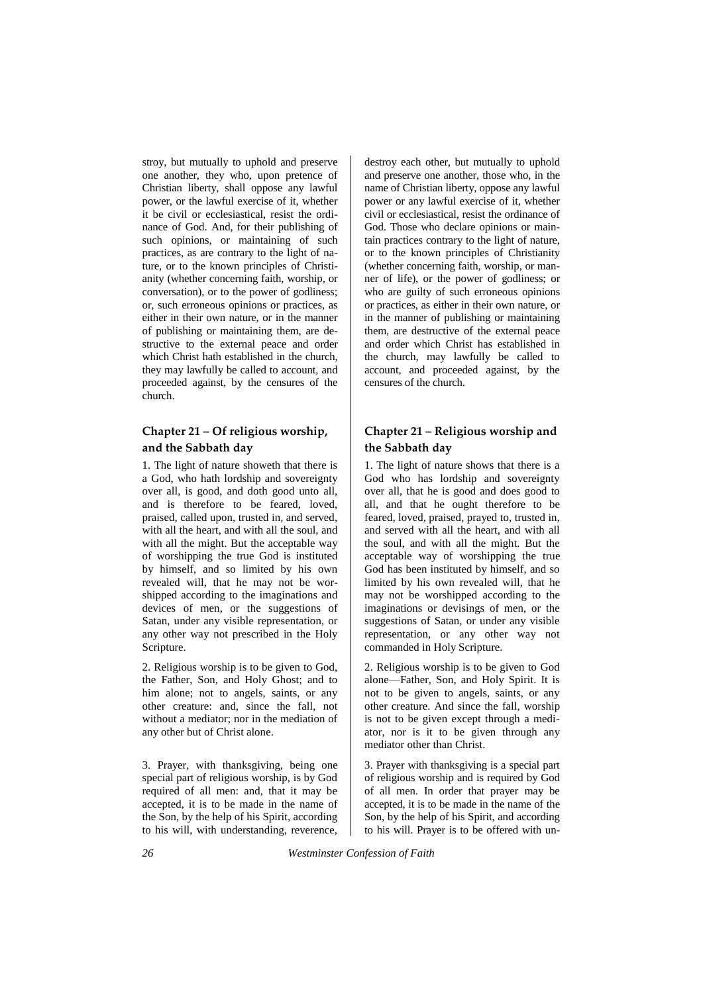stroy, but mutually to uphold and preserve one another, they who, upon pretence of Christian liberty, shall oppose any lawful power, or the lawful exercise of it, whether it be civil or ecclesiastical, resist the ordinance of God. And, for their publishing of such opinions, or maintaining of such practices, as are contrary to the light of nature, or to the known principles of Christianity (whether concerning faith, worship, or conversation), or to the power of godliness; or, such erroneous opinions or practices, as either in their own nature, or in the manner of publishing or maintaining them, are destructive to the external peace and order which Christ hath established in the church, they may lawfully be called to account, and proceeded against, by the censures of the church.

# **Chapter 21 – Of religious worship, and the Sabbath day**

1. The light of nature showeth that there is a God, who hath lordship and sovereignty over all, is good, and doth good unto all, and is therefore to be feared, loved, praised, called upon, trusted in, and served, with all the heart, and with all the soul, and with all the might. But the acceptable way of worshipping the true God is instituted by himself, and so limited by his own revealed will, that he may not be worshipped according to the imaginations and devices of men, or the suggestions of Satan, under any visible representation, or any other way not prescribed in the Holy Scripture.

2. Religious worship is to be given to God, the Father, Son, and Holy Ghost; and to him alone; not to angels, saints, or any other creature: and, since the fall, not without a mediator; nor in the mediation of any other but of Christ alone.

3. Prayer, with thanksgiving, being one special part of religious worship, is by God required of all men: and, that it may be accepted, it is to be made in the name of the Son, by the help of his Spirit, according to his will, with understanding, reverence, destroy each other, but mutually to uphold and preserve one another, those who, in the name of Christian liberty, oppose any lawful power or any lawful exercise of it, whether civil or ecclesiastical, resist the ordinance of God. Those who declare opinions or maintain practices contrary to the light of nature, or to the known principles of Christianity (whether concerning faith, worship, or manner of life), or the power of godliness; or who are guilty of such erroneous opinions or practices, as either in their own nature, or in the manner of publishing or maintaining them, are destructive of the external peace and order which Christ has established in the church, may lawfully be called to account, and proceeded against, by the censures of the church.

# **Chapter 21 – Religious worship and the Sabbath day**

1. The light of nature shows that there is a God who has lordship and sovereignty over all, that he is good and does good to all, and that he ought therefore to be feared, loved, praised, prayed to, trusted in, and served with all the heart, and with all the soul, and with all the might. But the acceptable way of worshipping the true God has been instituted by himself, and so limited by his own revealed will, that he may not be worshipped according to the imaginations or devisings of men, or the suggestions of Satan, or under any visible representation, or any other way not commanded in Holy Scripture.

2. Religious worship is to be given to God alone—Father, Son, and Holy Spirit. It is not to be given to angels, saints, or any other creature. And since the fall, worship is not to be given except through a mediator, nor is it to be given through any mediator other than Christ.

3. Prayer with thanksgiving is a special part of religious worship and is required by God of all men. In order that prayer may be accepted, it is to be made in the name of the Son, by the help of his Spirit, and according to his will. Prayer is to be offered with un-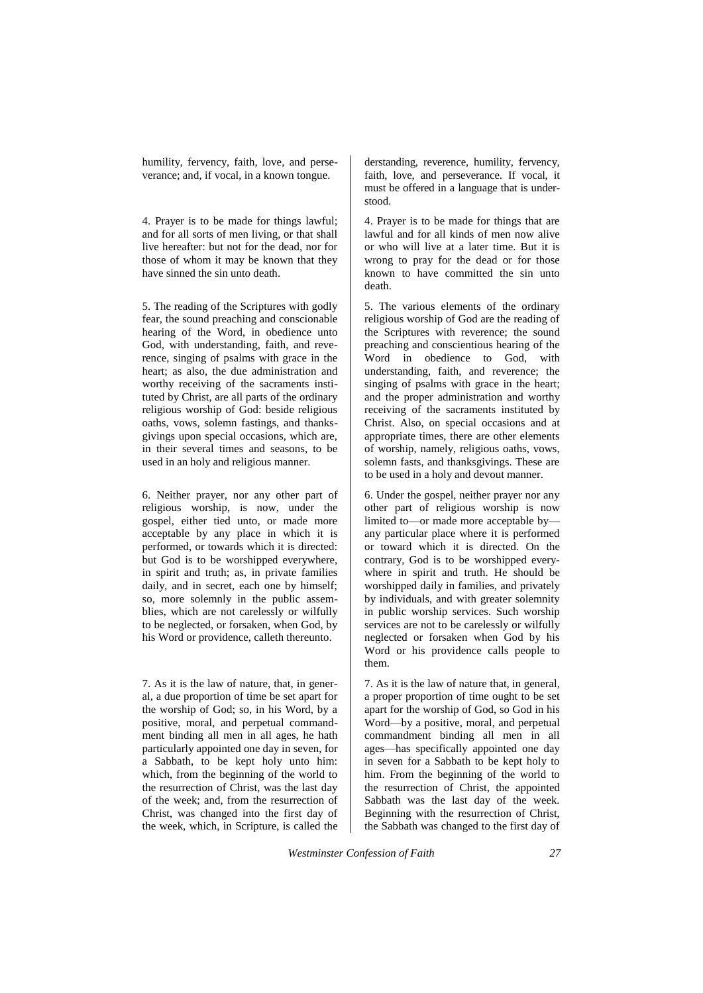humility, fervency, faith, love, and perseverance; and, if vocal, in a known tongue.

4. Prayer is to be made for things lawful; and for all sorts of men living, or that shall live hereafter: but not for the dead, nor for those of whom it may be known that they have sinned the sin unto death.

5. The reading of the Scriptures with godly fear, the sound preaching and conscionable hearing of the Word, in obedience unto God, with understanding, faith, and reverence, singing of psalms with grace in the heart; as also, the due administration and worthy receiving of the sacraments instituted by Christ, are all parts of the ordinary religious worship of God: beside religious oaths, vows, solemn fastings, and thanksgivings upon special occasions, which are, in their several times and seasons, to be used in an holy and religious manner.

6. Neither prayer, nor any other part of religious worship, is now, under the gospel, either tied unto, or made more acceptable by any place in which it is performed, or towards which it is directed: but God is to be worshipped everywhere, in spirit and truth; as, in private families daily, and in secret, each one by himself; so, more solemnly in the public assemblies, which are not carelessly or wilfully to be neglected, or forsaken, when God, by his Word or providence, calleth thereunto.

7. As it is the law of nature, that, in general, a due proportion of time be set apart for the worship of God; so, in his Word, by a positive, moral, and perpetual commandment binding all men in all ages, he hath particularly appointed one day in seven, for a Sabbath, to be kept holy unto him: which, from the beginning of the world to the resurrection of Christ, was the last day of the week; and, from the resurrection of Christ, was changed into the first day of the week, which, in Scripture, is called the

derstanding, reverence, humility, fervency, faith, love, and perseverance. If vocal, it must be offered in a language that is understood.

4. Prayer is to be made for things that are lawful and for all kinds of men now alive or who will live at a later time. But it is wrong to pray for the dead or for those known to have committed the sin unto death.

5. The various elements of the ordinary religious worship of God are the reading of the Scriptures with reverence; the sound preaching and conscientious hearing of the Word in obedience to God, with understanding, faith, and reverence; the singing of psalms with grace in the heart: and the proper administration and worthy receiving of the sacraments instituted by Christ. Also, on special occasions and at appropriate times, there are other elements of worship, namely, religious oaths, vows, solemn fasts, and thanksgivings. These are to be used in a holy and devout manner.

6. Under the gospel, neither prayer nor any other part of religious worship is now limited to—or made more acceptable by any particular place where it is performed or toward which it is directed. On the contrary, God is to be worshipped everywhere in spirit and truth. He should be worshipped daily in families, and privately by individuals, and with greater solemnity in public worship services. Such worship services are not to be carelessly or wilfully neglected or forsaken when God by his Word or his providence calls people to them.

7. As it is the law of nature that, in general, a proper proportion of time ought to be set apart for the worship of God, so God in his Word—by a positive, moral, and perpetual commandment binding all men in all ages—has specifically appointed one day in seven for a Sabbath to be kept holy to him. From the beginning of the world to the resurrection of Christ, the appointed Sabbath was the last day of the week. Beginning with the resurrection of Christ, the Sabbath was changed to the first day of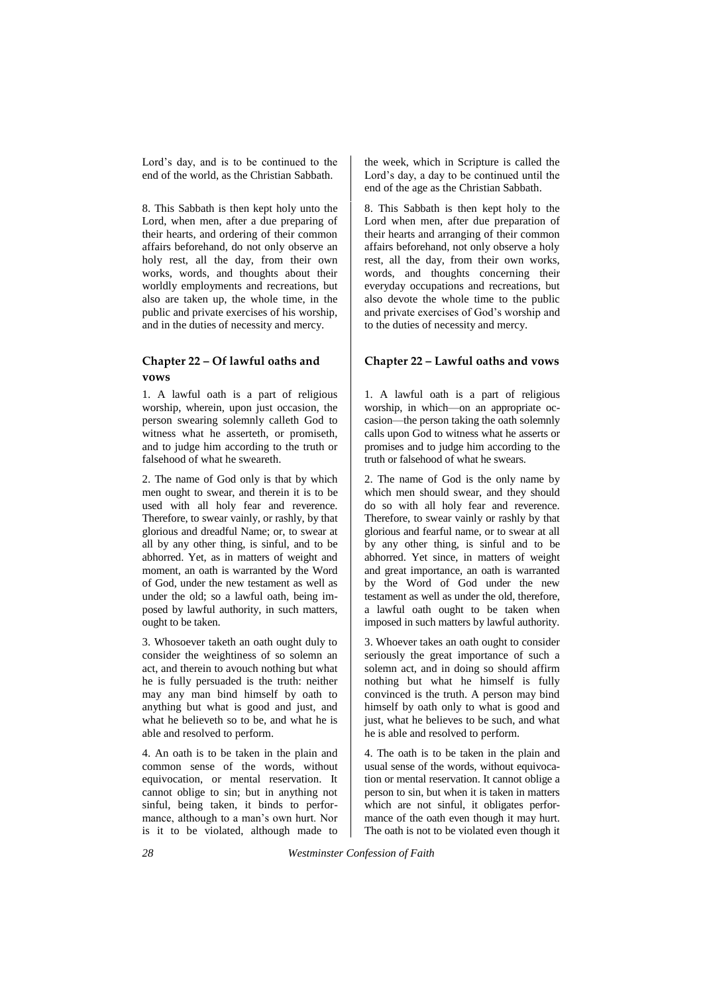Lord's day, and is to be continued to the end of the world, as the Christian Sabbath.

8. This Sabbath is then kept holy unto the Lord, when men, after a due preparing of their hearts, and ordering of their common affairs beforehand, do not only observe an holy rest, all the day, from their own works, words, and thoughts about their worldly employments and recreations, but also are taken up, the whole time, in the public and private exercises of his worship, and in the duties of necessity and mercy.

# **Chapter 22 – Of lawful oaths and vows**

1. A lawful oath is a part of religious worship, wherein, upon just occasion, the person swearing solemnly calleth God to witness what he asserteth, or promiseth, and to judge him according to the truth or falsehood of what he sweareth.

2. The name of God only is that by which men ought to swear, and therein it is to be used with all holy fear and reverence. Therefore, to swear vainly, or rashly, by that glorious and dreadful Name; or, to swear at all by any other thing, is sinful, and to be abhorred. Yet, as in matters of weight and moment, an oath is warranted by the Word of God, under the new testament as well as under the old; so a lawful oath, being imposed by lawful authority, in such matters, ought to be taken.

3. Whosoever taketh an oath ought duly to consider the weightiness of so solemn an act, and therein to avouch nothing but what he is fully persuaded is the truth: neither may any man bind himself by oath to anything but what is good and just, and what he believeth so to be, and what he is able and resolved to perform.

4. An oath is to be taken in the plain and common sense of the words, without equivocation, or mental reservation. It cannot oblige to sin; but in anything not sinful, being taken, it binds to performance, although to a man's own hurt. Nor is it to be violated, although made to the week, which in Scripture is called the Lord's day, a day to be continued until the end of the age as the Christian Sabbath.

8. This Sabbath is then kept holy to the Lord when men, after due preparation of their hearts and arranging of their common affairs beforehand, not only observe a holy rest, all the day, from their own works, words, and thoughts concerning their everyday occupations and recreations, but also devote the whole time to the public and private exercises of God's worship and to the duties of necessity and mercy.

### **Chapter 22 – Lawful oaths and vows**

1. A lawful oath is a part of religious worship, in which—on an appropriate occasion—the person taking the oath solemnly calls upon God to witness what he asserts or promises and to judge him according to the truth or falsehood of what he swears.

2. The name of God is the only name by which men should swear, and they should do so with all holy fear and reverence. Therefore, to swear vainly or rashly by that glorious and fearful name, or to swear at all by any other thing, is sinful and to be abhorred. Yet since, in matters of weight and great importance, an oath is warranted by the Word of God under the new testament as well as under the old, therefore, a lawful oath ought to be taken when imposed in such matters by lawful authority.

3. Whoever takes an oath ought to consider seriously the great importance of such a solemn act, and in doing so should affirm nothing but what he himself is fully convinced is the truth. A person may bind himself by oath only to what is good and just, what he believes to be such, and what he is able and resolved to perform.

4. The oath is to be taken in the plain and usual sense of the words, without equivocation or mental reservation. It cannot oblige a person to sin, but when it is taken in matters which are not sinful, it obligates performance of the oath even though it may hurt. The oath is not to be violated even though it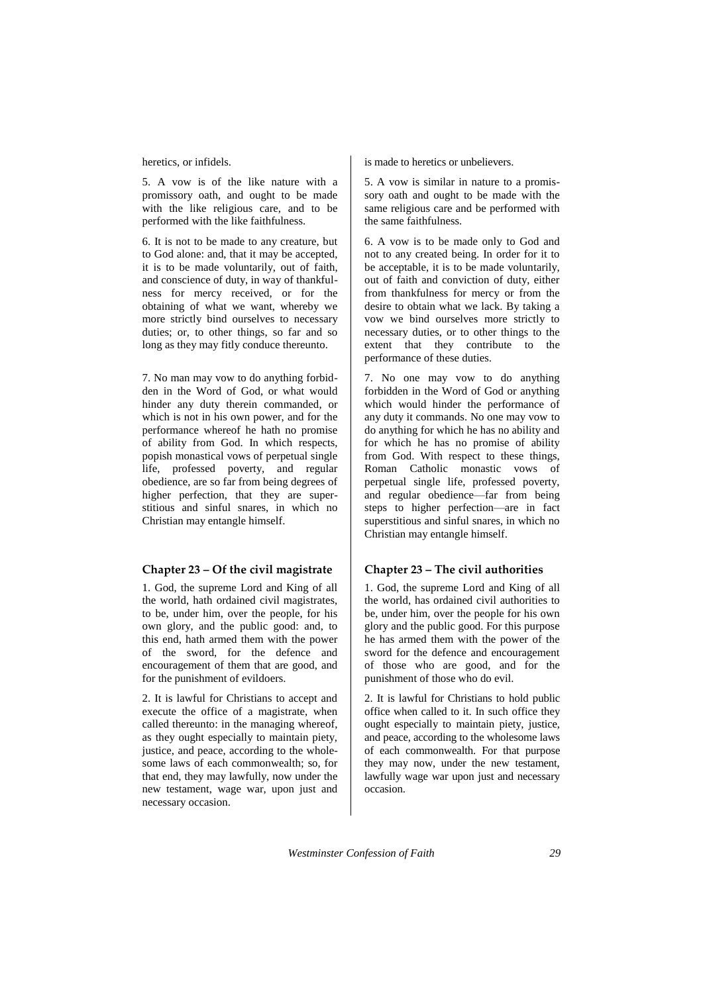5. A vow is of the like nature with a promissory oath, and ought to be made with the like religious care, and to be performed with the like faithfulness.

6. It is not to be made to any creature, but to God alone: and, that it may be accepted, it is to be made voluntarily, out of faith, and conscience of duty, in way of thankfulness for mercy received, or for the obtaining of what we want, whereby we more strictly bind ourselves to necessary duties; or, to other things, so far and so long as they may fitly conduce thereunto.

7. No man may vow to do anything forbidden in the Word of God, or what would hinder any duty therein commanded, or which is not in his own power, and for the performance whereof he hath no promise of ability from God. In which respects, popish monastical vows of perpetual single life, professed poverty, and regular obedience, are so far from being degrees of higher perfection, that they are superstitious and sinful snares, in which no Christian may entangle himself.

1. God, the supreme Lord and King of all the world, hath ordained civil magistrates, to be, under him, over the people, for his own glory, and the public good: and, to this end, hath armed them with the power of the sword, for the defence and encouragement of them that are good, and for the punishment of evildoers.

2. It is lawful for Christians to accept and execute the office of a magistrate, when called thereunto: in the managing whereof, as they ought especially to maintain piety, justice, and peace, according to the wholesome laws of each commonwealth; so, for that end, they may lawfully, now under the new testament, wage war, upon just and necessary occasion.

heretics, or infidels. is made to heretics or unbelievers.

5. A vow is similar in nature to a promissory oath and ought to be made with the same religious care and be performed with the same faithfulness.

6. A vow is to be made only to God and not to any created being. In order for it to be acceptable, it is to be made voluntarily, out of faith and conviction of duty, either from thankfulness for mercy or from the desire to obtain what we lack. By taking a vow we bind ourselves more strictly to necessary duties, or to other things to the extent that they contribute to the performance of these duties.

7. No one may vow to do anything forbidden in the Word of God or anything which would hinder the performance of any duty it commands. No one may vow to do anything for which he has no ability and for which he has no promise of ability from God. With respect to these things, Roman Catholic monastic vows of perpetual single life, professed poverty, and regular obedience—far from being steps to higher perfection—are in fact superstitious and sinful snares, in which no Christian may entangle himself.

### **Chapter 23 – Of the civil magistrate Chapter 23 – The civil authorities**

1. God, the supreme Lord and King of all the world, has ordained civil authorities to be, under him, over the people for his own glory and the public good. For this purpose he has armed them with the power of the sword for the defence and encouragement of those who are good, and for the punishment of those who do evil.

2. It is lawful for Christians to hold public office when called to it. In such office they ought especially to maintain piety, justice, and peace, according to the wholesome laws of each commonwealth. For that purpose they may now, under the new testament, lawfully wage war upon just and necessary occasion.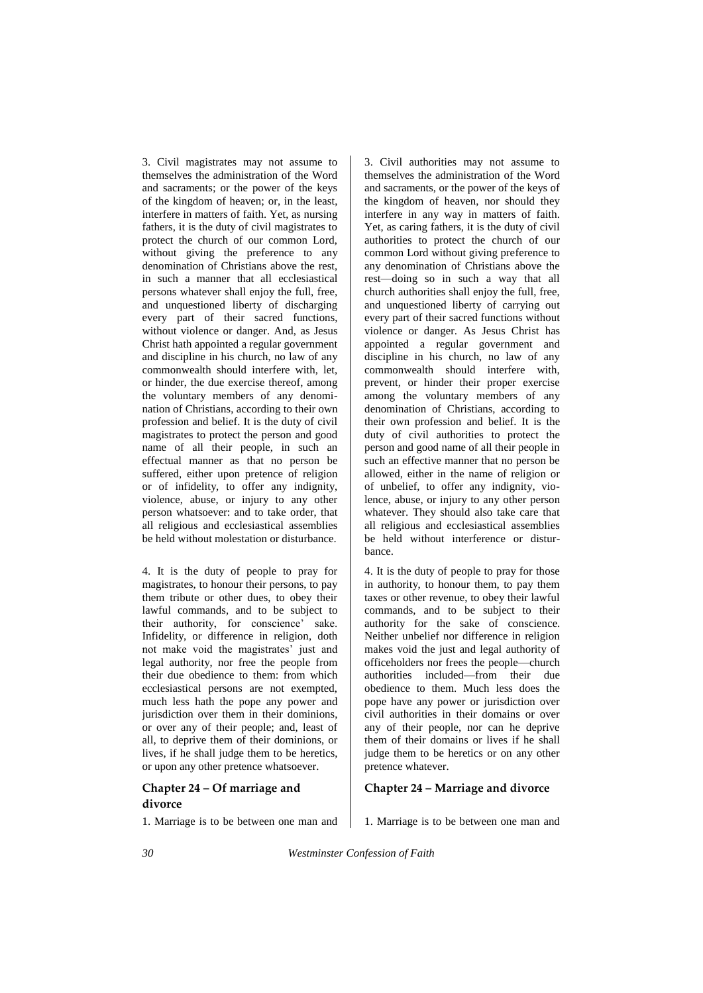3. Civil magistrates may not assume to themselves the administration of the Word and sacraments; or the power of the keys of the kingdom of heaven; or, in the least, interfere in matters of faith. Yet, as nursing fathers, it is the duty of civil magistrates to protect the church of our common Lord, without giving the preference to any denomination of Christians above the rest, in such a manner that all ecclesiastical persons whatever shall enjoy the full, free, and unquestioned liberty of discharging every part of their sacred functions, without violence or danger. And, as Jesus Christ hath appointed a regular government and discipline in his church, no law of any commonwealth should interfere with, let, or hinder, the due exercise thereof, among the voluntary members of any denomination of Christians, according to their own profession and belief. It is the duty of civil magistrates to protect the person and good name of all their people, in such an effectual manner as that no person be suffered, either upon pretence of religion or of infidelity, to offer any indignity, violence, abuse, or injury to any other person whatsoever: and to take order, that all religious and ecclesiastical assemblies be held without molestation or disturbance.

4. It is the duty of people to pray for magistrates, to honour their persons, to pay them tribute or other dues, to obey their lawful commands, and to be subject to their authority, for conscience' sake. Infidelity, or difference in religion, doth not make void the magistrates' just and legal authority, nor free the people from their due obedience to them: from which ecclesiastical persons are not exempted, much less hath the pope any power and jurisdiction over them in their dominions, or over any of their people; and, least of all, to deprive them of their dominions, or lives, if he shall judge them to be heretics, or upon any other pretence whatsoever.

# **Chapter 24 – Of marriage and divorce**

3. Civil authorities may not assume to themselves the administration of the Word and sacraments, or the power of the keys of the kingdom of heaven, nor should they interfere in any way in matters of faith. Yet, as caring fathers, it is the duty of civil authorities to protect the church of our common Lord without giving preference to any denomination of Christians above the rest—doing so in such a way that all church authorities shall enjoy the full, free, and unquestioned liberty of carrying out every part of their sacred functions without violence or danger. As Jesus Christ has appointed a regular government and discipline in his church, no law of any commonwealth should interfere with, prevent, or hinder their proper exercise among the voluntary members of any denomination of Christians, according to their own profession and belief. It is the duty of civil authorities to protect the person and good name of all their people in such an effective manner that no person be allowed, either in the name of religion or of unbelief, to offer any indignity, violence, abuse, or injury to any other person whatever. They should also take care that all religious and ecclesiastical assemblies be held without interference or disturbance.

4. It is the duty of people to pray for those in authority, to honour them, to pay them taxes or other revenue, to obey their lawful commands, and to be subject to their authority for the sake of conscience. Neither unbelief nor difference in religion makes void the just and legal authority of officeholders nor frees the people—church authorities included—from their due obedience to them. Much less does the pope have any power or jurisdiction over civil authorities in their domains or over any of their people, nor can he deprive them of their domains or lives if he shall judge them to be heretics or on any other pretence whatever.

# **Chapter 24 – Marriage and divorce**

1. Marriage is to be between one man and 1. Marriage is to be between one man and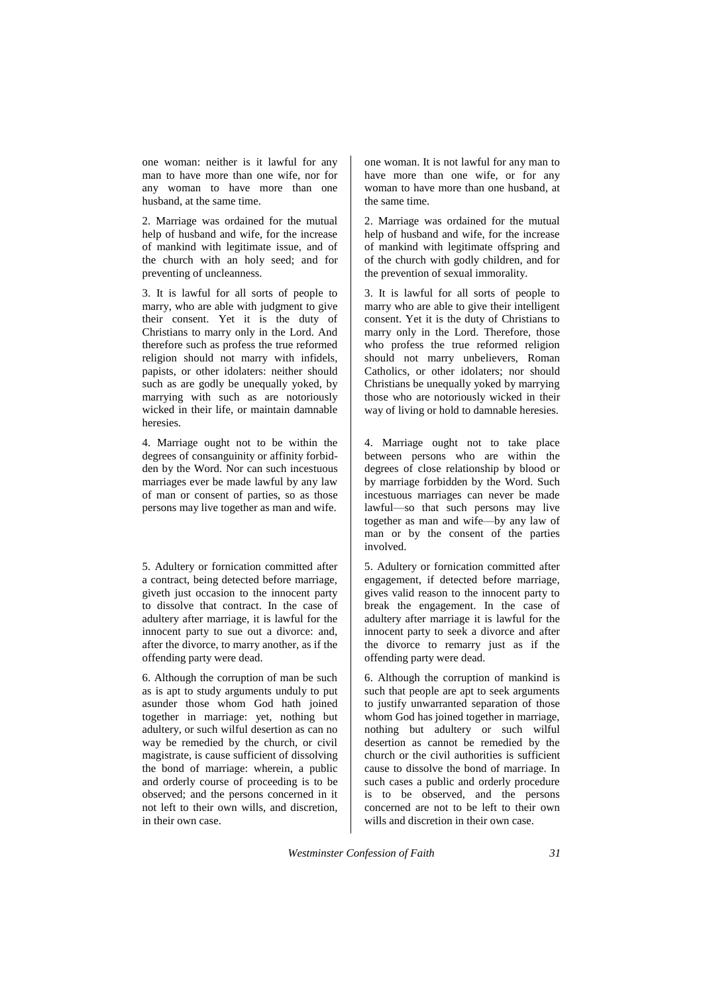one woman: neither is it lawful for any man to have more than one wife, nor for any woman to have more than one husband, at the same time.

2. Marriage was ordained for the mutual help of husband and wife, for the increase of mankind with legitimate issue, and of the church with an holy seed; and for preventing of uncleanness.

3. It is lawful for all sorts of people to marry, who are able with judgment to give their consent. Yet it is the duty of Christians to marry only in the Lord. And therefore such as profess the true reformed religion should not marry with infidels, papists, or other idolaters: neither should such as are godly be unequally voked, by marrying with such as are notoriously wicked in their life, or maintain damnable heresies.

4. Marriage ought not to be within the degrees of consanguinity or affinity forbidden by the Word. Nor can such incestuous marriages ever be made lawful by any law of man or consent of parties, so as those persons may live together as man and wife.

5. Adultery or fornication committed after a contract, being detected before marriage, giveth just occasion to the innocent party to dissolve that contract. In the case of adultery after marriage, it is lawful for the innocent party to sue out a divorce: and, after the divorce, to marry another, as if the offending party were dead.

6. Although the corruption of man be such as is apt to study arguments unduly to put asunder those whom God hath joined together in marriage: yet, nothing but adultery, or such wilful desertion as can no way be remedied by the church, or civil magistrate, is cause sufficient of dissolving the bond of marriage: wherein, a public and orderly course of proceeding is to be observed; and the persons concerned in it not left to their own wills, and discretion, in their own case.

one woman. It is not lawful for any man to have more than one wife, or for any woman to have more than one husband, at the same time.

2. Marriage was ordained for the mutual help of husband and wife, for the increase of mankind with legitimate offspring and of the church with godly children, and for the prevention of sexual immorality.

3. It is lawful for all sorts of people to marry who are able to give their intelligent consent. Yet it is the duty of Christians to marry only in the Lord. Therefore, those who profess the true reformed religion should not marry unbelievers, Roman Catholics, or other idolaters; nor should Christians be unequally yoked by marrying those who are notoriously wicked in their way of living or hold to damnable heresies.

4. Marriage ought not to take place between persons who are within the degrees of close relationship by blood or by marriage forbidden by the Word. Such incestuous marriages can never be made lawful—so that such persons may live together as man and wife—by any law of man or by the consent of the parties involved.

5. Adultery or fornication committed after engagement, if detected before marriage, gives valid reason to the innocent party to break the engagement. In the case of adultery after marriage it is lawful for the innocent party to seek a divorce and after the divorce to remarry just as if the offending party were dead.

6. Although the corruption of mankind is such that people are apt to seek arguments to justify unwarranted separation of those whom God has joined together in marriage, nothing but adultery or such wilful desertion as cannot be remedied by the church or the civil authorities is sufficient cause to dissolve the bond of marriage. In such cases a public and orderly procedure is to be observed, and the persons concerned are not to be left to their own wills and discretion in their own case.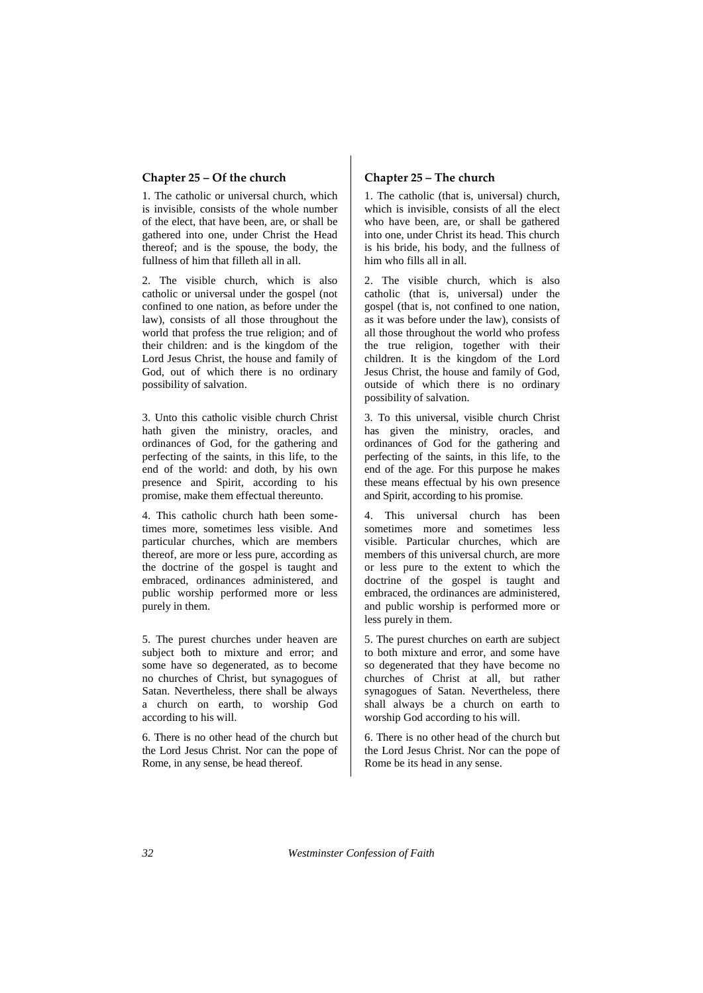### **Chapter 25 – Of the church Chapter 25 – The church**

1. The catholic or universal church, which is invisible, consists of the whole number of the elect, that have been, are, or shall be gathered into one, under Christ the Head thereof; and is the spouse, the body, the fullness of him that filleth all in all.

2. The visible church, which is also catholic or universal under the gospel (not confined to one nation, as before under the law), consists of all those throughout the world that profess the true religion; and of their children: and is the kingdom of the Lord Jesus Christ, the house and family of God, out of which there is no ordinary possibility of salvation.

3. Unto this catholic visible church Christ hath given the ministry, oracles, and ordinances of God, for the gathering and perfecting of the saints, in this life, to the end of the world: and doth, by his own presence and Spirit, according to his promise, make them effectual thereunto.

4. This catholic church hath been sometimes more, sometimes less visible. And particular churches, which are members thereof, are more or less pure, according as the doctrine of the gospel is taught and embraced, ordinances administered, and public worship performed more or less purely in them.

5. The purest churches under heaven are subject both to mixture and error; and some have so degenerated, as to become no churches of Christ, but synagogues of Satan. Nevertheless, there shall be always a church on earth, to worship God according to his will.

6. There is no other head of the church but the Lord Jesus Christ. Nor can the pope of Rome, in any sense, be head thereof.

1. The catholic (that is, universal) church, which is invisible, consists of all the elect who have been, are, or shall be gathered into one, under Christ its head. This church is his bride, his body, and the fullness of him who fills all in all.

2. The visible church, which is also catholic (that is, universal) under the gospel (that is, not confined to one nation, as it was before under the law), consists of all those throughout the world who profess the true religion, together with their children. It is the kingdom of the Lord Jesus Christ, the house and family of God, outside of which there is no ordinary possibility of salvation.

3. To this universal, visible church Christ has given the ministry, oracles, and ordinances of God for the gathering and perfecting of the saints, in this life, to the end of the age. For this purpose he makes these means effectual by his own presence and Spirit, according to his promise.

4. This universal church has been sometimes more and sometimes less visible. Particular churches, which are members of this universal church, are more or less pure to the extent to which the doctrine of the gospel is taught and embraced, the ordinances are administered, and public worship is performed more or less purely in them.

5. The purest churches on earth are subject to both mixture and error, and some have so degenerated that they have become no churches of Christ at all, but rather synagogues of Satan. Nevertheless, there shall always be a church on earth to worship God according to his will.

6. There is no other head of the church but the Lord Jesus Christ. Nor can the pope of Rome be its head in any sense.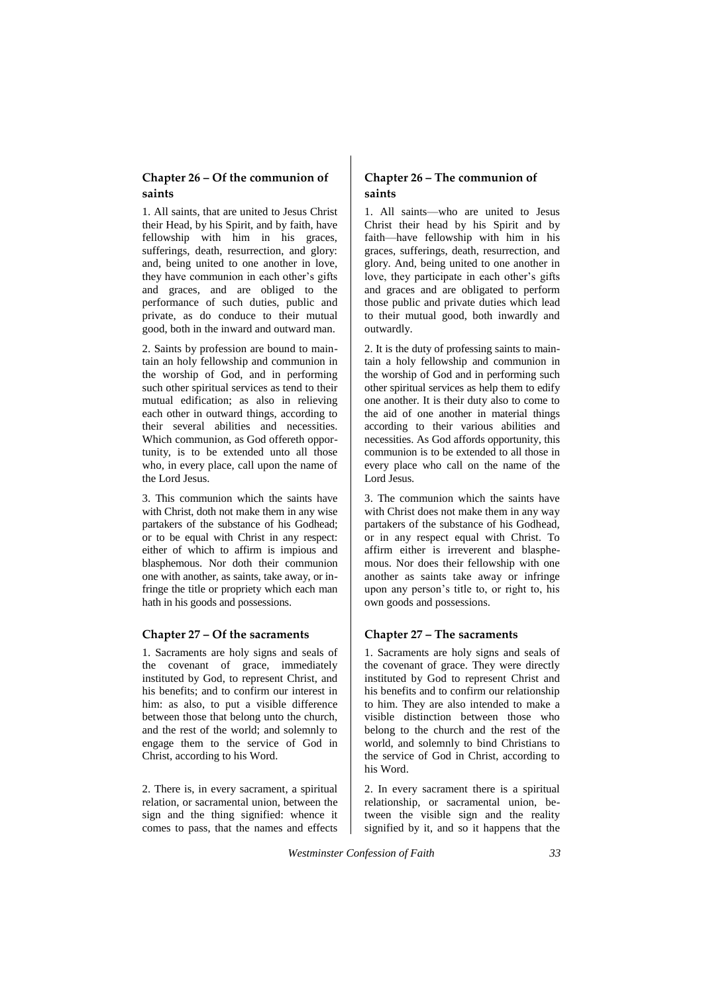# **Chapter 26 – Of the communion of saints**

1. All saints, that are united to Jesus Christ their Head, by his Spirit, and by faith, have fellowship with him in his graces, sufferings, death, resurrection, and glory: and, being united to one another in love, they have communion in each other's gifts and graces, and are obliged to the performance of such duties, public and private, as do conduce to their mutual good, both in the inward and outward man.

2. Saints by profession are bound to maintain an holy fellowship and communion in the worship of God, and in performing such other spiritual services as tend to their mutual edification; as also in relieving each other in outward things, according to their several abilities and necessities. Which communion, as God offereth opportunity, is to be extended unto all those who, in every place, call upon the name of the Lord Jesus.

3. This communion which the saints have with Christ, doth not make them in any wise partakers of the substance of his Godhead; or to be equal with Christ in any respect: either of which to affirm is impious and blasphemous. Nor doth their communion one with another, as saints, take away, or infringe the title or propriety which each man hath in his goods and possessions.

### **Chapter 27 – Of the sacraments Chapter 27 – The sacraments**

1. Sacraments are holy signs and seals of the covenant of grace, immediately instituted by God, to represent Christ, and his benefits; and to confirm our interest in him: as also, to put a visible difference between those that belong unto the church, and the rest of the world; and solemnly to engage them to the service of God in Christ, according to his Word.

2. There is, in every sacrament, a spiritual relation, or sacramental union, between the sign and the thing signified: whence it comes to pass, that the names and effects

# **Chapter 26 – The communion of saints**

1. All saints—who are united to Jesus Christ their head by his Spirit and by faith—have fellowship with him in his graces, sufferings, death, resurrection, and glory. And, being united to one another in love, they participate in each other's gifts and graces and are obligated to perform those public and private duties which lead to their mutual good, both inwardly and outwardly.

2. It is the duty of professing saints to maintain a holy fellowship and communion in the worship of God and in performing such other spiritual services as help them to edify one another. It is their duty also to come to the aid of one another in material things according to their various abilities and necessities. As God affords opportunity, this communion is to be extended to all those in every place who call on the name of the Lord Jesus.

3. The communion which the saints have with Christ does not make them in any way partakers of the substance of his Godhead, or in any respect equal with Christ. To affirm either is irreverent and blasphemous. Nor does their fellowship with one another as saints take away or infringe upon any person's title to, or right to, his own goods and possessions.

1. Sacraments are holy signs and seals of the covenant of grace. They were directly instituted by God to represent Christ and his benefits and to confirm our relationship to him. They are also intended to make a visible distinction between those who belong to the church and the rest of the world, and solemnly to bind Christians to the service of God in Christ, according to his Word.

2. In every sacrament there is a spiritual relationship, or sacramental union, between the visible sign and the reality signified by it, and so it happens that the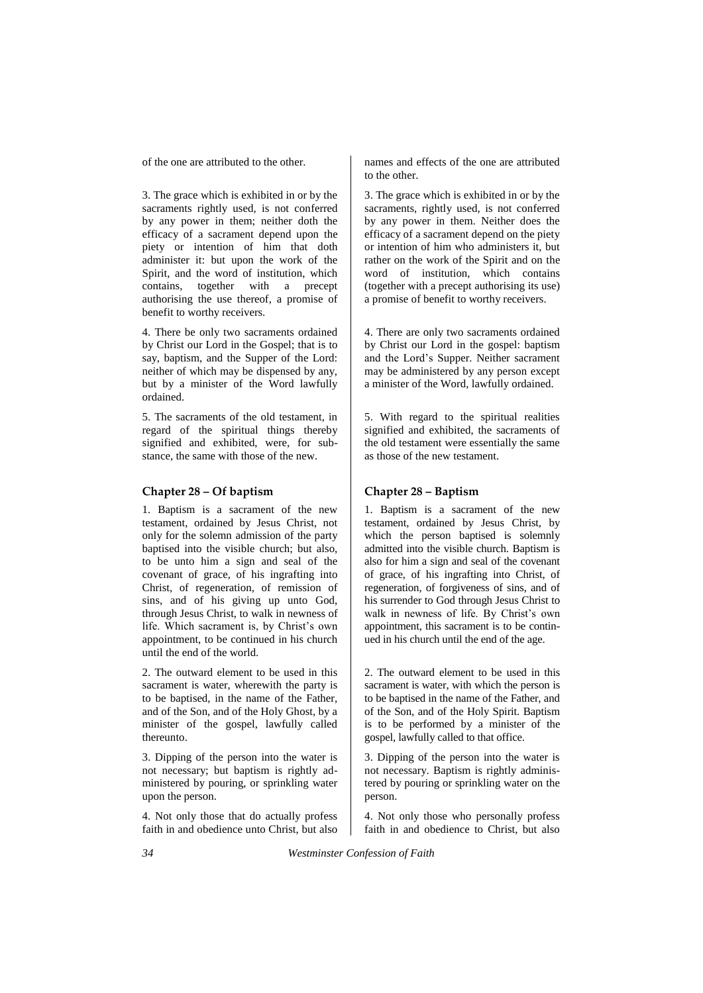3. The grace which is exhibited in or by the sacraments rightly used, is not conferred by any power in them; neither doth the efficacy of a sacrament depend upon the piety or intention of him that doth administer it: but upon the work of the Spirit, and the word of institution, which contains, together with a precept authorising the use thereof, a promise of benefit to worthy receivers.

4. There be only two sacraments ordained by Christ our Lord in the Gospel; that is to say, baptism, and the Supper of the Lord: neither of which may be dispensed by any, but by a minister of the Word lawfully ordained.

5. The sacraments of the old testament, in regard of the spiritual things thereby signified and exhibited, were, for substance, the same with those of the new.

### **Chapter 28 – Of baptism Chapter 28 – Baptism**

1. Baptism is a sacrament of the new testament, ordained by Jesus Christ, not only for the solemn admission of the party baptised into the visible church; but also, to be unto him a sign and seal of the covenant of grace, of his ingrafting into Christ, of regeneration, of remission of sins, and of his giving up unto God, through Jesus Christ, to walk in newness of life. Which sacrament is, by Christ's own appointment, to be continued in his church until the end of the world.

2. The outward element to be used in this sacrament is water, wherewith the party is to be baptised, in the name of the Father, and of the Son, and of the Holy Ghost, by a minister of the gospel, lawfully called thereunto.

3. Dipping of the person into the water is not necessary; but baptism is rightly administered by pouring, or sprinkling water upon the person.

4. Not only those that do actually profess faith in and obedience unto Christ, but also

of the one are attributed to the other. names and effects of the one are attributed to the other.

> 3. The grace which is exhibited in or by the sacraments, rightly used, is not conferred by any power in them. Neither does the efficacy of a sacrament depend on the piety or intention of him who administers it, but rather on the work of the Spirit and on the word of institution, which contains (together with a precept authorising its use) a promise of benefit to worthy receivers.

> 4. There are only two sacraments ordained by Christ our Lord in the gospel: baptism and the Lord's Supper. Neither sacrament may be administered by any person except a minister of the Word, lawfully ordained.

> 5. With regard to the spiritual realities signified and exhibited, the sacraments of the old testament were essentially the same as those of the new testament.

1. Baptism is a sacrament of the new testament, ordained by Jesus Christ, by which the person baptised is solemnly admitted into the visible church. Baptism is also for him a sign and seal of the covenant of grace, of his ingrafting into Christ, of regeneration, of forgiveness of sins, and of his surrender to God through Jesus Christ to walk in newness of life. By Christ's own appointment, this sacrament is to be continued in his church until the end of the age.

2. The outward element to be used in this sacrament is water, with which the person is to be baptised in the name of the Father, and of the Son, and of the Holy Spirit. Baptism is to be performed by a minister of the gospel, lawfully called to that office.

3. Dipping of the person into the water is not necessary. Baptism is rightly administered by pouring or sprinkling water on the person.

4. Not only those who personally profess faith in and obedience to Christ, but also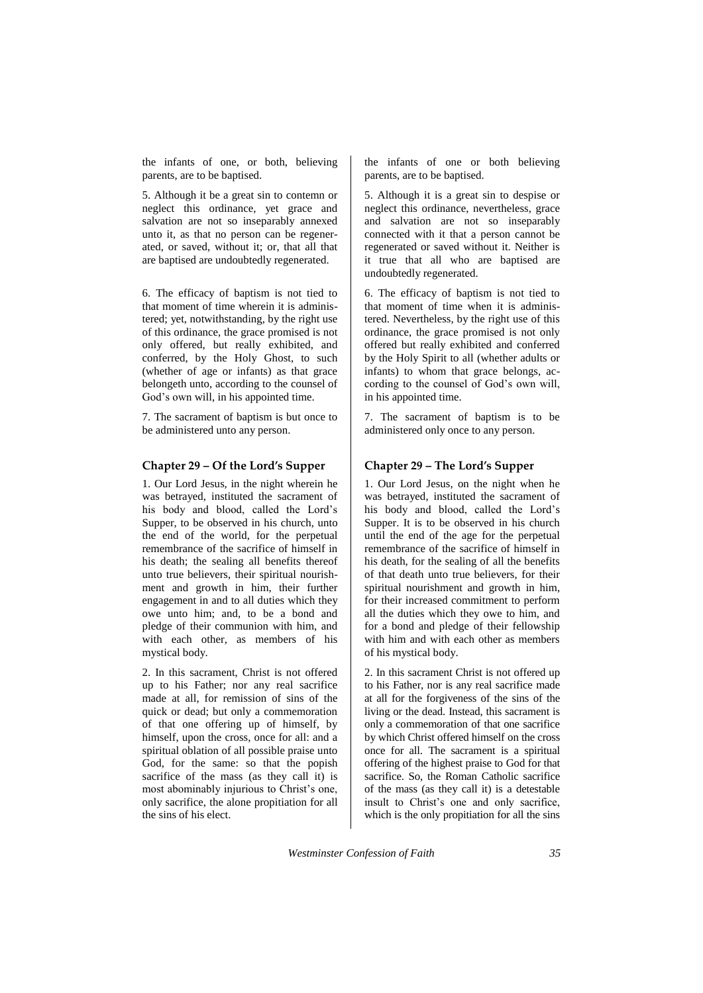the infants of one, or both, believing parents, are to be baptised.

5. Although it be a great sin to contemn or neglect this ordinance, yet grace and salvation are not so inseparably annexed unto it, as that no person can be regenerated, or saved, without it; or, that all that are baptised are undoubtedly regenerated.

6. The efficacy of baptism is not tied to that moment of time wherein it is administered; yet, notwithstanding, by the right use of this ordinance, the grace promised is not only offered, but really exhibited, and conferred, by the Holy Ghost, to such (whether of age or infants) as that grace belongeth unto, according to the counsel of God's own will, in his appointed time.

7. The sacrament of baptism is but once to be administered unto any person.

### **Chapter 29 – Of the Lord's Supper Chapter 29 – The Lord's Supper**

1. Our Lord Jesus, in the night wherein he was betrayed, instituted the sacrament of his body and blood, called the Lord's Supper, to be observed in his church, unto the end of the world, for the perpetual remembrance of the sacrifice of himself in his death; the sealing all benefits thereof unto true believers, their spiritual nourishment and growth in him, their further engagement in and to all duties which they owe unto him; and, to be a bond and pledge of their communion with him, and with each other, as members of his mystical body.

2. In this sacrament, Christ is not offered up to his Father; nor any real sacrifice made at all, for remission of sins of the quick or dead; but only a commemoration of that one offering up of himself, by himself, upon the cross, once for all: and a spiritual oblation of all possible praise unto God, for the same: so that the popish sacrifice of the mass (as they call it) is most abominably injurious to Christ's one, only sacrifice, the alone propitiation for all the sins of his elect.

the infants of one or both believing parents, are to be baptised.

5. Although it is a great sin to despise or neglect this ordinance, nevertheless, grace and salvation are not so inseparably connected with it that a person cannot be regenerated or saved without it. Neither is it true that all who are baptised are undoubtedly regenerated.

6. The efficacy of baptism is not tied to that moment of time when it is administered. Nevertheless, by the right use of this ordinance, the grace promised is not only offered but really exhibited and conferred by the Holy Spirit to all (whether adults or infants) to whom that grace belongs, according to the counsel of God's own will, in his appointed time.

7. The sacrament of baptism is to be administered only once to any person.

1. Our Lord Jesus, on the night when he was betrayed, instituted the sacrament of his body and blood, called the Lord's Supper. It is to be observed in his church until the end of the age for the perpetual remembrance of the sacrifice of himself in his death, for the sealing of all the benefits of that death unto true believers, for their spiritual nourishment and growth in him, for their increased commitment to perform all the duties which they owe to him, and for a bond and pledge of their fellowship with him and with each other as members of his mystical body.

2. In this sacrament Christ is not offered up to his Father, nor is any real sacrifice made at all for the forgiveness of the sins of the living or the dead. Instead, this sacrament is only a commemoration of that one sacrifice by which Christ offered himself on the cross once for all. The sacrament is a spiritual offering of the highest praise to God for that sacrifice. So, the Roman Catholic sacrifice of the mass (as they call it) is a detestable insult to Christ's one and only sacrifice, which is the only propitiation for all the sins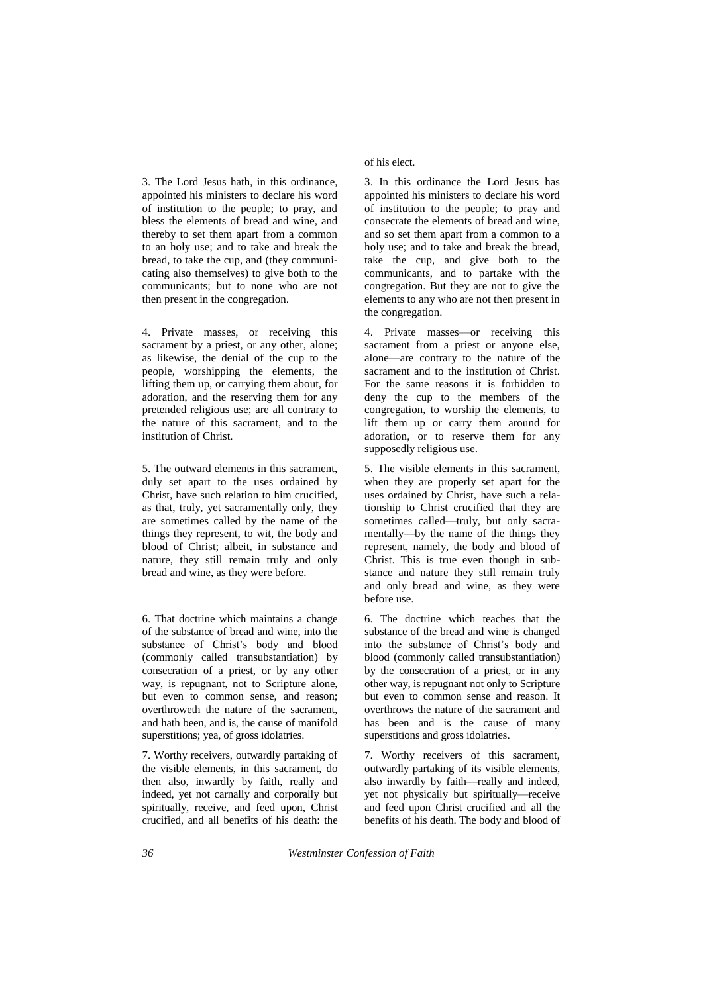3. The Lord Jesus hath, in this ordinance, appointed his ministers to declare his word of institution to the people; to pray, and bless the elements of bread and wine, and thereby to set them apart from a common to an holy use; and to take and break the bread, to take the cup, and (they communicating also themselves) to give both to the communicants; but to none who are not then present in the congregation.

4. Private masses, or receiving this sacrament by a priest, or any other, alone: as likewise, the denial of the cup to the people, worshipping the elements, the lifting them up, or carrying them about, for adoration, and the reserving them for any pretended religious use; are all contrary to the nature of this sacrament, and to the institution of Christ.

5. The outward elements in this sacrament, duly set apart to the uses ordained by Christ, have such relation to him crucified, as that, truly, yet sacramentally only, they are sometimes called by the name of the things they represent, to wit, the body and blood of Christ; albeit, in substance and nature, they still remain truly and only bread and wine, as they were before.

6. That doctrine which maintains a change of the substance of bread and wine, into the substance of Christ's body and blood (commonly called transubstantiation) by consecration of a priest, or by any other way, is repugnant, not to Scripture alone, but even to common sense, and reason; overthroweth the nature of the sacrament, and hath been, and is, the cause of manifold superstitions; yea, of gross idolatries.

7. Worthy receivers, outwardly partaking of the visible elements, in this sacrament, do then also, inwardly by faith, really and indeed, yet not carnally and corporally but spiritually, receive, and feed upon, Christ crucified, and all benefits of his death: the of his elect.

3. In this ordinance the Lord Jesus has appointed his ministers to declare his word of institution to the people; to pray and consecrate the elements of bread and wine, and so set them apart from a common to a holy use; and to take and break the bread, take the cup, and give both to the communicants, and to partake with the congregation. But they are not to give the elements to any who are not then present in the congregation.

4. Private masses—or receiving this sacrament from a priest or anyone else. alone—are contrary to the nature of the sacrament and to the institution of Christ. For the same reasons it is forbidden to deny the cup to the members of the congregation, to worship the elements, to lift them up or carry them around for adoration, or to reserve them for any supposedly religious use.

5. The visible elements in this sacrament, when they are properly set apart for the uses ordained by Christ, have such a relationship to Christ crucified that they are sometimes called—truly, but only sacramentally—by the name of the things they represent, namely, the body and blood of Christ. This is true even though in substance and nature they still remain truly and only bread and wine, as they were before use.

6. The doctrine which teaches that the substance of the bread and wine is changed into the substance of Christ's body and blood (commonly called transubstantiation) by the consecration of a priest, or in any other way, is repugnant not only to Scripture but even to common sense and reason. It overthrows the nature of the sacrament and has been and is the cause of many superstitions and gross idolatries.

7. Worthy receivers of this sacrament, outwardly partaking of its visible elements, also inwardly by faith—really and indeed, yet not physically but spiritually—receive and feed upon Christ crucified and all the benefits of his death. The body and blood of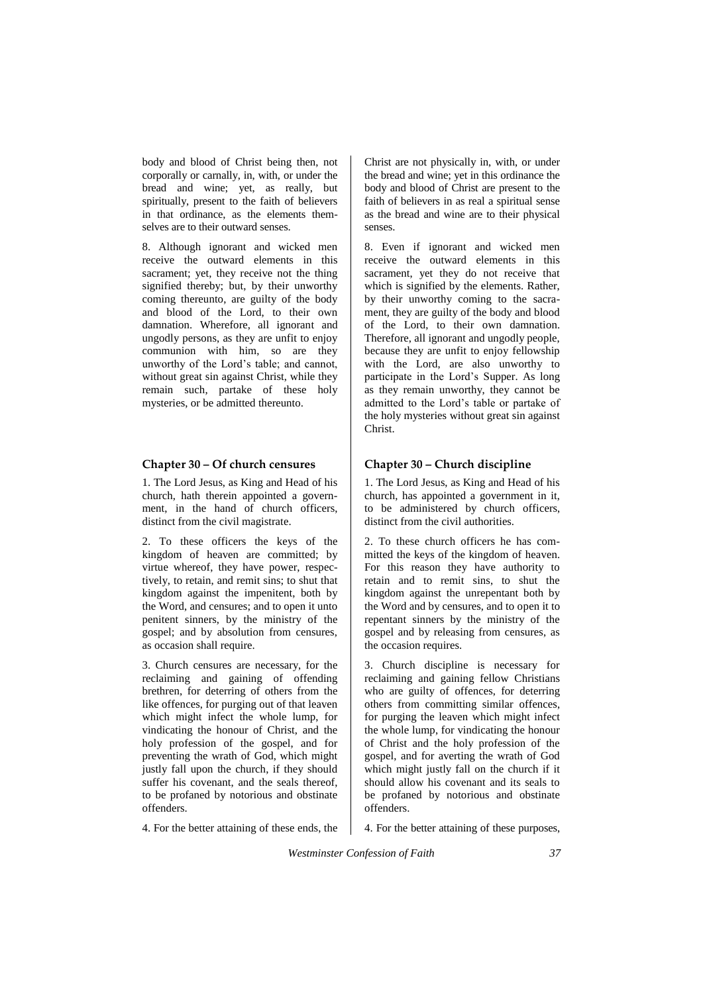body and blood of Christ being then, not corporally or carnally, in, with, or under the bread and wine; yet, as really, but spiritually, present to the faith of believers in that ordinance, as the elements themselves are to their outward senses.

8. Although ignorant and wicked men receive the outward elements in this sacrament; yet, they receive not the thing signified thereby; but, by their unworthy coming thereunto, are guilty of the body and blood of the Lord, to their own damnation. Wherefore, all ignorant and ungodly persons, as they are unfit to enjoy communion with him, so are they unworthy of the Lord's table; and cannot, without great sin against Christ, while they remain such, partake of these holy mysteries, or be admitted thereunto.

### **Chapter 30 – Of church censures Chapter 30 – Church discipline**

1. The Lord Jesus, as King and Head of his church, hath therein appointed a government, in the hand of church officers, distinct from the civil magistrate.

2. To these officers the keys of the kingdom of heaven are committed; by virtue whereof, they have power, respectively, to retain, and remit sins; to shut that kingdom against the impenitent, both by the Word, and censures; and to open it unto penitent sinners, by the ministry of the gospel; and by absolution from censures, as occasion shall require.

3. Church censures are necessary, for the reclaiming and gaining of offending brethren, for deterring of others from the like offences, for purging out of that leaven which might infect the whole lump, for vindicating the honour of Christ, and the holy profession of the gospel, and for preventing the wrath of God, which might justly fall upon the church, if they should suffer his covenant, and the seals thereof, to be profaned by notorious and obstinate offenders.

Christ are not physically in, with, or under the bread and wine; yet in this ordinance the body and blood of Christ are present to the faith of believers in as real a spiritual sense as the bread and wine are to their physical senses.

8. Even if ignorant and wicked men receive the outward elements in this sacrament, yet they do not receive that which is signified by the elements. Rather, by their unworthy coming to the sacrament, they are guilty of the body and blood of the Lord, to their own damnation. Therefore, all ignorant and ungodly people, because they are unfit to enjoy fellowship with the Lord, are also unworthy to participate in the Lord's Supper. As long as they remain unworthy, they cannot be admitted to the Lord's table or partake of the holy mysteries without great sin against Christ.

1. The Lord Jesus, as King and Head of his church, has appointed a government in it, to be administered by church officers, distinct from the civil authorities.

2. To these church officers he has committed the keys of the kingdom of heaven. For this reason they have authority to retain and to remit sins, to shut the kingdom against the unrepentant both by the Word and by censures, and to open it to repentant sinners by the ministry of the gospel and by releasing from censures, as the occasion requires.

3. Church discipline is necessary for reclaiming and gaining fellow Christians who are guilty of offences, for deterring others from committing similar offences, for purging the leaven which might infect the whole lump, for vindicating the honour of Christ and the holy profession of the gospel, and for averting the wrath of God which might justly fall on the church if it should allow his covenant and its seals to be profaned by notorious and obstinate offenders.

4. For the better attaining of these ends, the 4. For the better attaining of these purposes,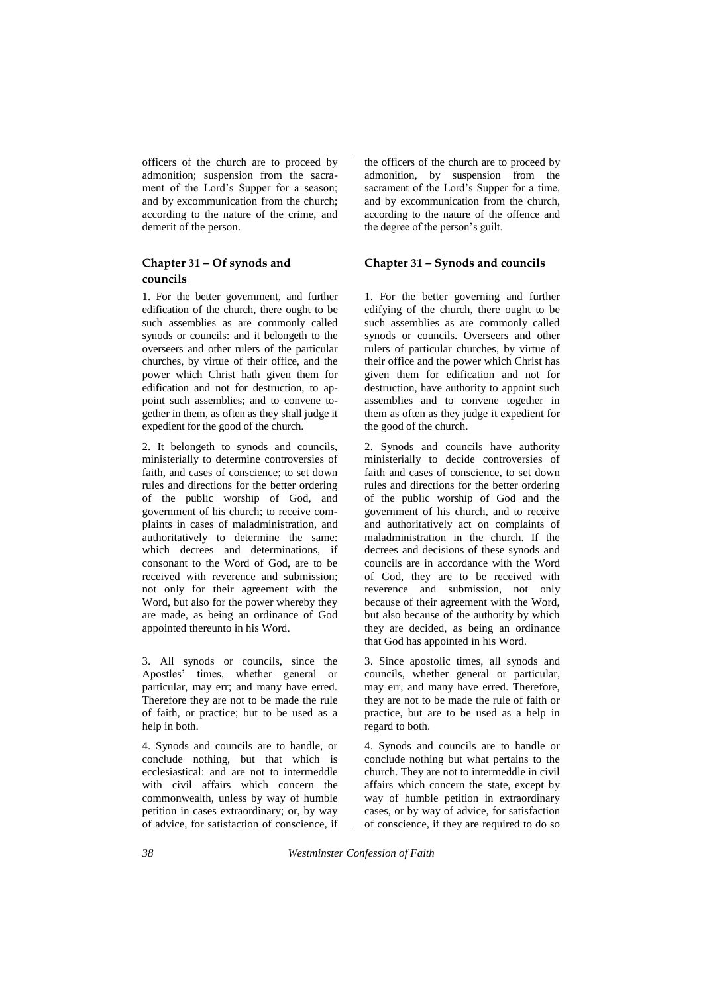officers of the church are to proceed by admonition; suspension from the sacrament of the Lord's Supper for a season; and by excommunication from the church; according to the nature of the crime, and demerit of the person.

# **Chapter 31 – Of synods and councils**

1. For the better government, and further edification of the church, there ought to be such assemblies as are commonly called synods or councils: and it belongeth to the overseers and other rulers of the particular churches, by virtue of their office, and the power which Christ hath given them for edification and not for destruction, to appoint such assemblies; and to convene together in them, as often as they shall judge it expedient for the good of the church.

2. It belongeth to synods and councils, ministerially to determine controversies of faith, and cases of conscience; to set down rules and directions for the better ordering of the public worship of God, and government of his church; to receive complaints in cases of maladministration, and authoritatively to determine the same: which decrees and determinations, if consonant to the Word of God, are to be received with reverence and submission; not only for their agreement with the Word, but also for the power whereby they are made, as being an ordinance of God appointed thereunto in his Word.

3. All synods or councils, since the Apostles' times, whether general or particular, may err; and many have erred. Therefore they are not to be made the rule of faith, or practice; but to be used as a help in both.

4. Synods and councils are to handle, or conclude nothing, but that which is ecclesiastical: and are not to intermeddle with civil affairs which concern the commonwealth, unless by way of humble petition in cases extraordinary; or, by way of advice, for satisfaction of conscience, if the officers of the church are to proceed by admonition, by suspension from the sacrament of the Lord's Supper for a time, and by excommunication from the church, according to the nature of the offence and the degree of the person's guilt.

# **Chapter 31 – Synods and councils**

1. For the better governing and further edifying of the church, there ought to be such assemblies as are commonly called synods or councils. Overseers and other rulers of particular churches, by virtue of their office and the power which Christ has given them for edification and not for destruction, have authority to appoint such assemblies and to convene together in them as often as they judge it expedient for the good of the church.

2. Synods and councils have authority ministerially to decide controversies of faith and cases of conscience, to set down rules and directions for the better ordering of the public worship of God and the government of his church, and to receive and authoritatively act on complaints of maladministration in the church. If the decrees and decisions of these synods and councils are in accordance with the Word of God, they are to be received with reverence and submission, not only because of their agreement with the Word, but also because of the authority by which they are decided, as being an ordinance that God has appointed in his Word.

3. Since apostolic times, all synods and councils, whether general or particular, may err, and many have erred. Therefore, they are not to be made the rule of faith or practice, but are to be used as a help in regard to both.

4. Synods and councils are to handle or conclude nothing but what pertains to the church. They are not to intermeddle in civil affairs which concern the state, except by way of humble petition in extraordinary cases, or by way of advice, for satisfaction of conscience, if they are required to do so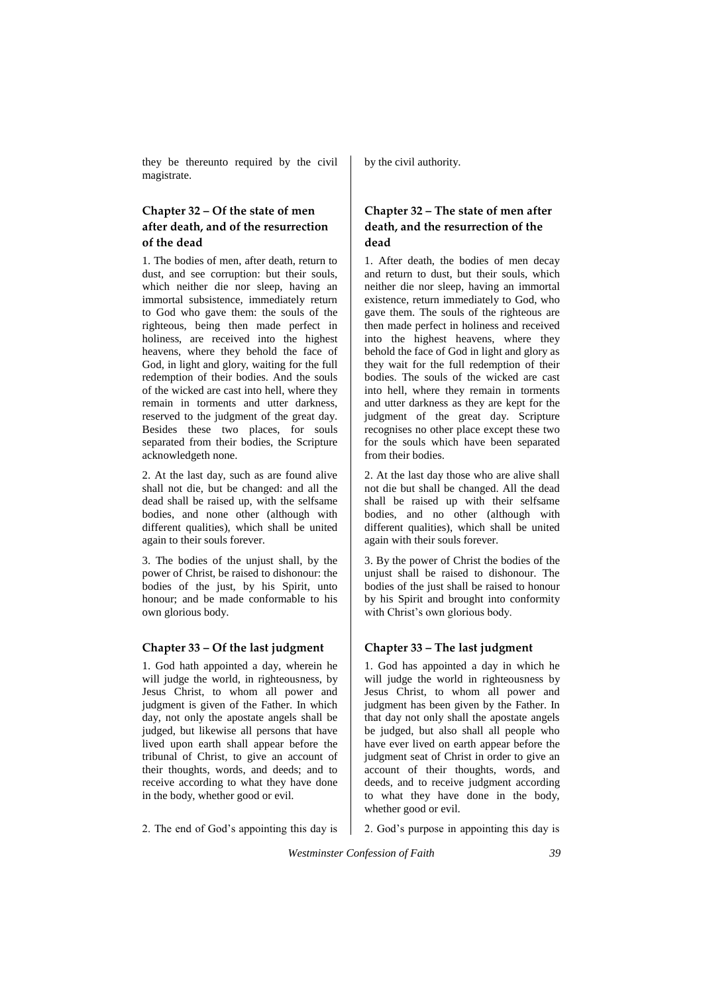they be thereunto required by the civil magistrate.

# **Chapter 32 – Of the state of men after death, and of the resurrection of the dead**

1. The bodies of men, after death, return to dust, and see corruption: but their souls, which neither die nor sleep, having an immortal subsistence, immediately return to God who gave them: the souls of the righteous, being then made perfect in holiness, are received into the highest heavens, where they behold the face of God, in light and glory, waiting for the full redemption of their bodies. And the souls of the wicked are cast into hell, where they remain in torments and utter darkness, reserved to the judgment of the great day. Besides these two places, for souls separated from their bodies, the Scripture acknowledgeth none.

2. At the last day, such as are found alive shall not die, but be changed: and all the dead shall be raised up, with the selfsame bodies, and none other (although with different qualities), which shall be united again to their souls forever.

3. The bodies of the unjust shall, by the power of Christ, be raised to dishonour: the bodies of the just, by his Spirit, unto honour; and be made conformable to his own glorious body.

### **Chapter 33 – Of the last judgment Chapter 33 – The last judgment**

1. God hath appointed a day, wherein he will judge the world, in righteousness, by Jesus Christ, to whom all power and judgment is given of the Father. In which day, not only the apostate angels shall be judged, but likewise all persons that have lived upon earth shall appear before the tribunal of Christ, to give an account of their thoughts, words, and deeds; and to receive according to what they have done in the body, whether good or evil.

by the civil authority.

# **Chapter 32 – The state of men after death, and the resurrection of the dead**

1. After death, the bodies of men decay and return to dust, but their souls, which neither die nor sleep, having an immortal existence, return immediately to God, who gave them. The souls of the righteous are then made perfect in holiness and received into the highest heavens, where they behold the face of God in light and glory as they wait for the full redemption of their bodies. The souls of the wicked are cast into hell, where they remain in torments and utter darkness as they are kept for the judgment of the great day. Scripture recognises no other place except these two for the souls which have been separated from their bodies.

2. At the last day those who are alive shall not die but shall be changed. All the dead shall be raised up with their selfsame bodies, and no other (although with different qualities), which shall be united again with their souls forever.

3. By the power of Christ the bodies of the unjust shall be raised to dishonour. The bodies of the just shall be raised to honour by his Spirit and brought into conformity with Christ's own glorious body.

1. God has appointed a day in which he will judge the world in righteousness by Jesus Christ, to whom all power and judgment has been given by the Father. In that day not only shall the apostate angels be judged, but also shall all people who have ever lived on earth appear before the judgment seat of Christ in order to give an account of their thoughts, words, and deeds, and to receive judgment according to what they have done in the body, whether good or evil.

2. The end of God's appointing this day is 2. God's purpose in appointing this day is